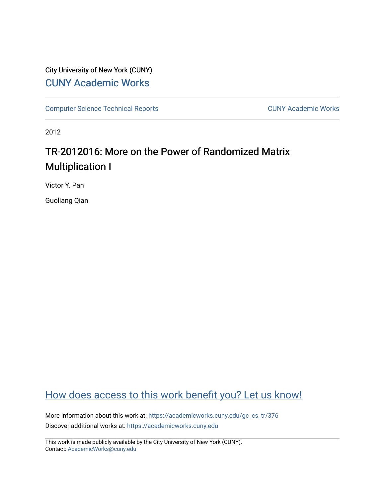# City University of New York (CUNY) [CUNY Academic Works](https://academicworks.cuny.edu/)

[Computer Science Technical Reports](https://academicworks.cuny.edu/gc_cs_tr) **CUNY Academic Works** CUNY Academic Works

2012

# TR-2012016: More on the Power of Randomized Matrix Multiplication I

Victor Y. Pan

Guoliang Qian

# [How does access to this work benefit you? Let us know!](http://ols.cuny.edu/academicworks/?ref=https://academicworks.cuny.edu/gc_cs_tr/376)

More information about this work at: [https://academicworks.cuny.edu/gc\\_cs\\_tr/376](https://academicworks.cuny.edu/gc_cs_tr/376)  Discover additional works at: [https://academicworks.cuny.edu](https://academicworks.cuny.edu/?)

This work is made publicly available by the City University of New York (CUNY). Contact: [AcademicWorks@cuny.edu](mailto:AcademicWorks@cuny.edu)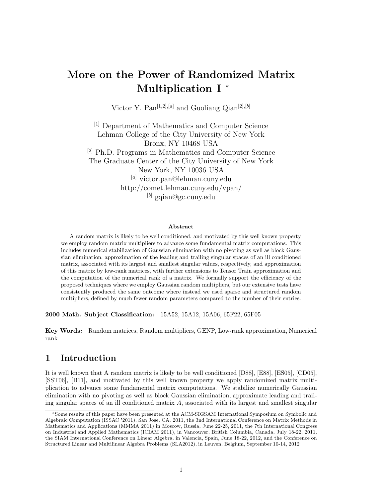# **More on the Power of Randomized Matrix Multiplication I** <sup>∗</sup>

Victor Y. Pan<sup>[1,2],[a]</sup> and Guoliang Qian<sup>[2],[b]</sup>

[1] Department of Mathematics and Computer Science Lehman College of the City University of New York Bronx, NY 10468 USA [2] Ph.D. Programs in Mathematics and Computer Science The Graduate Center of the City University of New York New York, NY 10036 USA [*a*] victor.pan@lehman.cuny.edu http://comet.lehman.cuny.edu/vpan/ [*b*] gqian@gc.cuny.edu

#### **Abstract**

A random matrix is likely to be well conditioned, and motivated by this well known property we employ random matrix multipliers to advance some fundamental matrix computations. This includes numerical stabilization of Gaussian elimination with no pivoting as well as block Gaussian elimination, approximation of the leading and trailing singular spaces of an ill conditioned matrix, associated with its largest and smallest singular values, respectively, and approximation of this matrix by low-rank matrices, with further extensions to Tensor Train approximation and the computation of the numerical rank of a matrix. We formally support the efficiency of the proposed techniques where we employ Gaussian random multipliers, but our extensive tests have consistently produced the same outcome where instead we used sparse and structured random multipliers, defined by much fewer random parameters compared to the number of their entries.

**2000 Math. Subject Classification:** 15A52, 15A12, 15A06, 65F22, 65F05

**Key Words:** Random matrices, Random multipliers, GENP, Low-rank approximation, Numerical rank

## **1 Introduction**

It is well known that A random matrix is likely to be well conditioned [D88], [E88], [ES05], [CD05], [SST06], [B11], and motivated by this well known property we apply randomized matrix multiplication to advance some fundamental matrix computations. We stabilize numerically Gaussian elimination with no pivoting as well as block Gaussian elimination, approximate leading and trailing singular spaces of an ill conditioned matrix *A*, associated with its largest and smallest singular

<sup>∗</sup>Some results of this paper have been presented at the ACM-SIGSAM International Symposium on Symbolic and Algebraic Computation (ISSAC '2011), San Jose, CA, 2011, the 3nd International Conference on Matrix Methods in Mathematics and Applications (MMMA 2011) in Moscow, Russia, June 22-25, 2011, the 7th International Congress on Industrial and Applied Mathematics (ICIAM 2011), in Vancouver, British Columbia, Canada, July 18-22, 2011, the SIAM International Conference on Linear Algebra, in Valencia, Spain, June 18-22, 2012, and the Conference on Structured Linear and Multilinear Algebra Problems (SLA2012), in Leuven, Belgium, September 10-14, 2012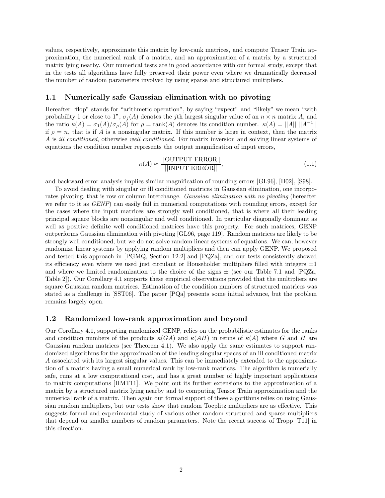values, respectively, approximate this matrix by low-rank matrices, and compute Tensor Train approximation, the numerical rank of a matrix, and an approximation of a matrix by a structured matrix lying nearby. Our numerical tests are in good accordance with our formal study, except that in the tests all algorithms have fully preserved their power even where we dramatically decreased the number of random parameters involved by using sparse and structured multipliers.

#### **1.1 Numerically safe Gaussian elimination with no pivoting**

Hereafter "flop" stands for "arithmetic operation", by saying "expect" and "likely" we mean "with probability 1 or close to 1",  $\sigma_j(A)$  denotes the *j*th largest singular value of an  $n \times n$  matrix *A*, and the ratio  $κ(A) = σ_1(A)/σ_ρ(A)$  for  $ρ = \text{rank}(A)$  denotes its condition number.  $κ(A) = ||A|| ||A^{-1}||$ if  $\rho = n$ , that is if *A* is a nonsingular matrix. If this number is large in context, then the matrix *A* is *ill conditioned*, otherwise *well conditioned*. For matrix inversion and solving linear systems of equations the condition number represents the output magnification of input errors,

$$
\kappa(A) \approx \frac{||\text{OUTPUT ERROR}||}{||\text{NPUT ERROR}||},\tag{1.1}
$$

and backward error analysis implies similar magnification of rounding errors [GL96], [H02], [S98].

To avoid dealing with singular or ill conditioned matrices in Gaussian elimination, one incorporates pivoting, that is row or column interchange. *Gaussian elimination with no pivoting* (hereafter we refer to it as *GENP*) can easily fail in numerical computations with rounding errors, except for the cases where the input matrices are strongly well conditioned, that is where all their leading principal square blocks are nonsingular and well conditioned. In particular diagonally dominant as well as positive definite well conditioned matrices have this property. For such matrices, GENP outperforms Gaussian elimination with pivoting [GL96, page 119]. Random matrices are likely to be strongly well conditioned, but we do not solve random linear systems of equations. We can, however randomize linear systems by applying random multipliers and then can apply GENP. We proposed and tested this approach in [PGMQ, Section 12.2] and [PQZa], and our tests consistently showed its efficiency even where we used just circulant or Householder multipliers filled with integers  $\pm 1$ and where we limited randomization to the choice of the signs  $\pm$  (see our Table 7.1 and [PQZa, Table 2]). Our Corollary 4.1 supports these empirical observations provided that the multipliers are square Gaussian random matrices. Estimation of the condition numbers of structured matrices was stated as a challenge in [SST06]. The paper [PQa] presents some initial advance, but the problem remains largely open.

#### **1.2 Randomized low-rank approximation and beyond**

Our Corollary 4.1, supporting randomized GENP, relies on the probabilistic estimates for the ranks and condition numbers of the products  $\kappa(GA)$  and  $\kappa(AH)$  in terms of  $\kappa(A)$  where *G* and *H* are Gaussian random matrices (see Theorem 4.1). We also apply the same estimates to support randomized algorithms for the approximation of the leading singular spaces of an ill conditioned matrix *A* associated with its largest singular values. This can be immediately extended to the approximation of a matrix having a small numerical rank by low-rank matrices. The algorithm is numerially safe, runs at a low computational cost, and has a great number of highly important applications to matrix computations [HMT11]. We point out its further extensions to the approximation of a matrix by a structured matrix lying nearby and to computing Tensor Train approximation and the numerical rank of a matrix. Then again our formal support of these algorithms relies on using Gaussian random multipliers, but our tests show that random Toeplitz multipliers are as effective. This suggests formal and experimantal study of various other random structured and sparse multipliers that depend on smaller numbers of random parameters. Note the recent success of Tropp [T11] in this direction.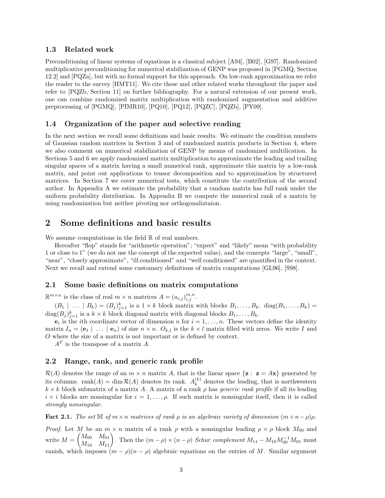#### **1.3 Related work**

Preconditioning of linear systems of equations is a classical subject [A94], [B02], [G97]. Randomized multiplicative preconditioning for numerical stabilization of GENP was proposed in [PGMQ, Section 12.2] and [PQZa], but with no formal support for this approach. On low-rank approximation we refer the reader to the survey [HMT11]. We cite these and other related works throughout the paper and refer to [PQZb, Section 11] on further bibliography. For a natural extension of our present work, one can combine randomized matrix multiplication with randomized augmentation and additive preprocessing of [PGMQ], [PIMR10], [PQ10], [PQ12], [PQZC], [PQZb], [PY09].

#### **1.4 Organization of the paper and selective reading**

In the next section we recall some definitions and basic results. We estimate the condition numbers of Gaussian random matrices in Section 3 and of randomized matrix products in Section 4, where we also comment on numerical stabilization of GENP by means of randomized multilication. In Sections 5 and 6 we apply randomized matrix multiplication to approximate the leading and trailing singular spaces of a matrix having a small numerical rank, approximate this matrix by a low-rank matrix, and point out applications to tensor decomposition and to approximation by structured matrices. In Section 7 we cover numerical tests, which constitute the contribution of the second author. In Appendix A we estimate the probability that a random matrix has full rank under the uniform probability distribution. In Appendix B we compute the numerical rank of a matrix by using randomization but neither pivoting nor orthogonaliztaion.

### **2 Some definitions and basic results**

We assume computations in the field  $\mathbb R$  of real numbers.

Hereafter "flop" stands for "arithmetic operation"; "expect" and "likely" mean "with probability 1 or close to 1" (we do not use the concept of the expected value), and the concepts "large", "small", "near", "closely approximate", "ill conditioned" and "well conditioned" are quantified in the context. Next we recall and extend some customary definitions of matrix computations [GL96], [S98].

#### **2.1 Some basic definitions on matrix computations**

 $\mathbb{R}^{m \times n}$  is the class of real  $m \times n$  matrices  $A = (a_{i,j})_{i,j}^{m,n}$ .

 $(B_1 \mid \ldots \mid B_k) = (B_j)_{j=1}^k$  is a  $1 \times k$  block matrix with blocks  $B_1, \ldots, B_k$ . diag $(B_1, \ldots, B_k)$  $\text{diag}(B_j)_{j=1}^k$  is a  $k \times k$  block diagonal matrix with diagonal blocks  $B_1, \ldots, B_k$ .

 $e_i$  is the *i*th coordinate vector of dimension *n* for  $i = 1, \ldots, n$ . These vectors define the identity matrix  $I_n = (e_1 | \ldots | e_n)$  of size  $n \times n$ .  $O_{k,l}$  is the  $k \times l$  matrix filled with zeros. We write *I* and *O* where the size of a matrix is not important or is defined by context.

*A<sup>T</sup>* is the transpose of a matrix *A*.

#### **2.2 Range, rank, and generic rank profile**

 $\mathcal{R}(A)$  denotes the range of an  $m \times n$  matrix A, that is the linear space  $\{z : z = Ax\}$  generated by its columns. rank $(A) = \dim \mathcal{R}(A)$  denotes its rank.  $A_k^{(k)}$  denotes the leading, that is northwestern  $k \times k$  block submatrix of a matrix *A*. A matrix of a rank  $\rho$  has *generic rank profile* if all its leading  $i \times i$  blocks are nonsingular for  $i = 1, \ldots, \rho$ . If such matrix is nonsingular itself, then it is called *strongly nonsingular*.

**Fact 2.1.** *The set*  $\mathbb{M}$  *of*  $m \times n$  *matrices of rank*  $\rho$  *is an algebraic variety of dimension*  $(m+n-\rho)\rho$ *.* 

*Proof.* Let *M* be an  $m \times n$  matrix of a rank  $\rho$  with a nonsingular leading  $\rho \times \rho$  block  $M_{00}$  and write  $M =$  $\begin{pmatrix} M_{00} & M_{01} \\ M_{10} & M_{11} \end{pmatrix}$ . Then the  $(m - \rho) \times (n - \rho)$  *Schur complement*  $M_{11} - M_{10} M_{00}^{-1} M_{01}$  must vanish, which imposes  $(m - \rho)(n - \rho)$  algebraic equations on the entries of *M*. Similar argument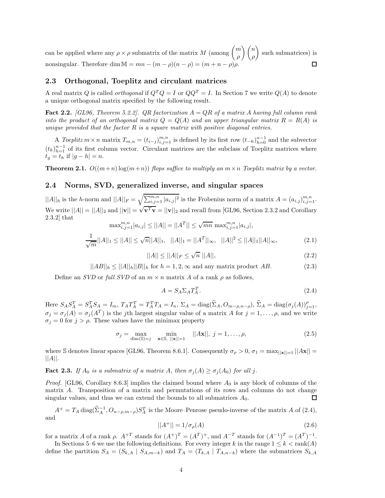can be applied where any  $\rho \times \rho$  submatrix of the matrix *M* (among  $\binom{m}{q}$  $\setminus$  *n* such submatrices) is *ρ ρ* nonsingular. Therefore dim  $M = mn - (m - \rho)(n - \rho) = (m + n - \rho)\rho$ .  $\Box$ 

#### **2.3 Orthogonal, Toeplitz and circulant matrices**

A real matrix *Q* is called *orthogonal* if  $Q^T Q = I$  or  $QQ^T = I$ . In Section 7 we write  $Q(A)$  to denote a unique orthogonal matrix specified by the following result.

**Fact 2.2.** *[GL96, Theorem 5.2.2]. QR factorization A* = *QR of a matrix A having full column rank into the product of an orthogonal matrix*  $Q = Q(A)$  *and an upper triangular matrix*  $R = R(A)$  *is unique provided that the factor R is a square matrix with positive diagonal entries.*

A *Toeplitz*  $m \times n$  matrix  $T_{m,n} = (t_{i-j})_{i,j=1}^{m,n}$  is defined by its first row  $(t_{-h})_{h=0}^{n-1}$  and the subvector  $(t_h)_{h=1}^{n-1}$  of its first column vector. Circulant matrices are the subclass of Toeplitz matrices where  $t_q = t_h$  if  $|g - h| = n$ .

**Theorem 2.1.**  $O((m+n) \log(m+n))$  *flops suffice to multiply an*  $m \times n$  *Toeplitz matrix by a vector.* 

#### **2.4 Norms, SVD, generalized inverse, and singular spaces**

 $||A||_h$  is the *h*-norm and  $||A||_F = \sqrt{\sum_{i,j=1}^{m,n} |a_{i,j}|^2}$  is the Frobenius norm of a matrix  $A = (a_{i,j})_{i,j=1}^{m,n}$ . We write  $||A|| = ||A||_2$  and  $||\mathbf{v}|| = \sqrt{\mathbf{v}^T \mathbf{v}} = ||\mathbf{v}||_2$  and recall from [GL96, Section 2.3.2 and Corollary 2.3.2] that  $\max_{i,j=1}^{m,n} |a_{i,j}| \leq ||A|| = ||A^T|| \leq \sqrt{mn} \max_{i,j=1}^{m,n} |a_{i,j}|,$ 

$$
\frac{1}{\sqrt{m}}||A||_1 \le ||A|| \le \sqrt{n}||A||_1, \quad ||A||_1 = ||A^T||_{\infty}, \quad ||A||^2 \le ||A||_1 ||A||_{\infty}, \tag{2.1}
$$

$$
||A|| \le ||A||_F \le \sqrt{n} \, ||A||,\tag{2.2}
$$

$$
||AB||_h \le ||A||_h ||B||_h \text{ for } h = 1, 2, \infty \text{ and any matrix product } AB.
$$
 (2.3)

Define an *SVD* or *full SVD* of an  $m \times n$  matrix *A* of a rank  $\rho$  as follows,

$$
A = S_A \Sigma_A T_A^T. \tag{2.4}
$$

Here  $S_A S_A^T = S_A^T S_A = I_m$ ,  $T_A T_A^T = T_A^T T_A = I_n$ ,  $\Sigma_A = \text{diag}(\widehat{\Sigma}_A, O_{m-\rho,n-\rho}),$   $\widehat{\Sigma}_A = \text{diag}(\sigma_j(A))_{j=1}^{\rho}$ ,  $\sigma_j = \sigma_j(A) = \sigma_j(A^T)$  is the *j*th largest singular value of a matrix *A* for  $j = 1, \ldots, \rho$ , and we write  $\sigma_j = 0$  for  $j > \rho$ . These values have the minimax property

$$
\sigma_j = \max_{\dim(\mathbb{S}) = j} \min_{\mathbf{x} \in \mathbb{S}, \ |\mathbf{x}\| = 1} \ |\|A\mathbf{x}\|, \ j = 1, \dots, \rho,
$$
\n(2.5)

where S denotes linear spaces [GL96, Theorem 8.6.1]. Consequently  $\sigma_{\rho} > 0$ ,  $\sigma_1 = \max_{\vert \vert \mathbf{x} \vert \vert = 1} \vert \vert A \mathbf{x} \vert \vert =$ ||*A*||.

**Fact 2.3.** *If*  $A_0$  *is a submatrix of a matrix*  $A$ *, then*  $\sigma_j(A) \geq \sigma_j(A_0)$  *for all j.* 

*Proof.* [GL96, Corollary 8.6.3] implies the claimed bound where *A*<sup>0</sup> is any block of columns of the matrix *A*. Transposition of a matrix and permutations of its rows and columns do not change singular values, and thus we can extend the bounds to all submatrices *A*0. 口

 $A^+ = T_A \operatorname{diag}(\hat{\Sigma}_A^{-1}, O_{n-\rho,m-\rho}) S_A^T$  is the Moore–Penrose pseudo-inverse of the matrix *A* of (2.4), and

$$
||A^{+}|| = 1/\sigma_{\rho}(A)
$$
\n(2.6)

for a matrix *A* of a rank  $\rho$ .  $A^{+T}$  stands for  $(A^{+})^{T} = (A^{T})^{+}$ , and  $A^{-T}$  stands for  $(A^{-1})^{T} = (A^{T})^{-1}$ .

In Sections 5–6 we use the following definitions. For every integer *k* in the range  $1 \leq k < \text{rank}(A)$ define the partition  $S_A = (S_{k,A} | S_{A,m-k})$  and  $T_A = (T_{k,A} | T_{A,n-k})$  where the submatrices  $S_{k,A}$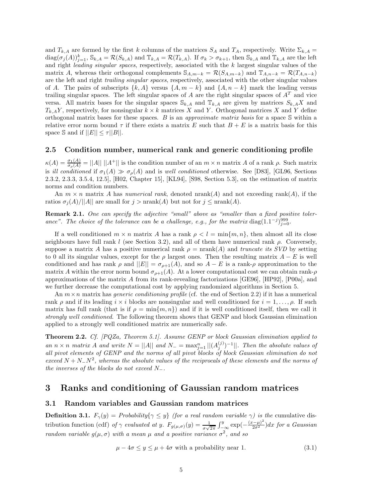and  $T_{k,A}$  are formed by the first *k* columns of the matrices  $S_A$  and  $T_A$ , respectively. Write  $\Sigma_{k,A}$  $diag(\sigma_j(A))_{j=1}^k$ ,  $\mathbb{S}_{k,A} = \mathcal{R}(S_{k,A})$  and  $\mathbb{T}_{k,A} = \mathcal{R}(T_{k,A})$ . If  $\sigma_k > \sigma_{k+1}$ , then  $\mathbb{S}_{k,A}$  and  $\mathbb{T}_{k,A}$  are the left and right *leading singular spaces*, respectively, associated with the *k* largest singular values of the matrix *A*, whereas their orthogonal complements  $\mathcal{S}_{A,m-k} = \mathcal{R}(S_{A,m-k})$  and  $\mathbb{T}_{A,n-k} = \mathcal{R}(T_{A,n-k})$ are the left and right *trailing singular spaces*, respectively, associated with the other singular values of *A*. The pairs of subscripts  $\{k, A\}$  versus  $\{A, m - k\}$  and  $\{A, n - k\}$  mark the leading versus trailing singular spaces. The left singular spaces of *A* are the right singular spaces of *A<sup>T</sup>* and vice versa. All matrix bases for the singular spaces  $\mathbb{S}_{k,A}$  and  $\mathbb{T}_{k,A}$  are given by matrices  $S_{k,A}X$  and  $T_{k,A}Y$ , respectively, for nonsingular  $k \times k$  matrices *X* and *Y*. Orthogonal matrices *X* and *Y* define orthogonal matrix bases for these spaces. *B* is an *approximate matrix basis* for a space S within a relative error norm bound  $\tau$  if there exists a matrix *E* such that  $B + E$  is a matrix basis for this space S and if  $||E|| \leq \tau ||B||$ .

#### **2.5 Condition number, numerical rank and generic conditioning profile**

 $\kappa(A) = \frac{\sigma_1(A)}{\sigma_\rho(A)} = ||A|| \, ||A^+||$  is the condition number of an  $m \times n$  matrix *A* of a rank  $\rho$ . Such matrix is *ill conditioned* if  $\sigma_1(A) \gg \sigma_\rho(A)$  and is *well conditioned* otherwise. See [D83], [GL96, Sections 2.3.2, 2.3.3, 3.5.4, 12.5], [H02, Chapter 15], [KL94], [S98, Section 5.3], on the estimation of matrix norms and condition numbers.

An  $m \times n$  matrix *A* has *numerical rank*, denoted nrank(*A*) and not exceeding rank(*A*), if the ratios  $\sigma_j(A)/||A||$  are small for  $j > \text{nrank}(A)$  but not for  $j \leq \text{nrank}(A)$ .

**Remark 2.1.** *One can specify the adjective "small" above as "smaller than a fixed positive toler*ance". The choice of the tolerance can be a challenge, e.g., for the matrix diag(1.1<sup>-*j*)999</sup><sub>j=0</sub>.

If a well conditioned  $m \times n$  matrix *A* has a rank  $\rho < l = \min\{m, n\}$ , then almost all its close neighbours have full rank *l* (see Section 3.2), and all of them have numerical rank *ρ*. Conversely, suppose a matrix *A* has a positive numerical rank  $\rho = \text{nrank}(A)$  and *truncate its SVD* by setting to 0 all its singular values, except for the  $\rho$  largest ones. Then the resulting matrix  $A - E$  is well conditioned and has rank  $\rho$  and  $||E|| = \sigma_{\rho+1}(A)$ , and so  $A - E$  is a rank- $\rho$  approximation to the matrix *A* within the error norm bound  $\sigma_{\rho+1}(A)$ . At a lower computational cost we can obtain rank- $\rho$ approximations of the matrix *A* from its rank-revealing factorizations [GE96], [HP92], [P00a], and we further decrease the computational cost by applying randomized algorithms in Section 5.

An  $m \times n$  matrix has *generic conditioning profile* (cf. the end of Section 2.2) if it has a numerical rank  $\rho$  and if its leading  $i \times i$  blocks are nonsingular and well conditioned for  $i = 1, \ldots, \rho$ . If such matrix has full rank (that is if  $\rho = \min\{m, n\}$ ) and if it is well conditioned itself, then we call it *strongly well conditioned*. The following theorem shows that GENP and block Gaussian elimination applied to a strongly well conditioned matrix are numerically safe.

**Theorem 2.2.** *Cf. [PQZa, Theorem 5.1]. Assume GENP or block Gaussian elimination applied to an*  $n \times n$  *matrix A and* write  $N = ||A||$  *and*  $N = \max_{j=1}^{n} ||(A_j^{(j)})^{-1}||$ *. Then the absolute values of all pivot elements of GENP and the norms of all pivot blocks of block Gaussian elimination do not exceed*  $N + N - N^2$ , whereas the absolute values of the reciprocals of these elements and the norms of *the inverses of the blocks do not exceed N*−*.*

## **3 Ranks and conditioning of Gaussian random matrices**

#### **3.1 Random variables and Gaussian random matrices**

**Definition 3.1.**  $F_\gamma(y) =$  *Probability*{ $\gamma \leq y$ } *(for a real random variable*  $\gamma$ *) is the* cumulative distribution function (cdf) of  $\gamma$  evaluated at y.  $F_{g(\mu,\sigma)}(y) = \frac{1}{\sigma\sqrt{2\pi}} \int_{-\infty}^{y} \exp(-\frac{(x-\mu)^2}{2\sigma^2}) dx$  for a Gaussian *random variable*  $g(\mu, \sigma)$  *with a mean*  $\mu$  *and a positive variance*  $\sigma^2$ *, and so* 

$$
\mu - 4\sigma \le y \le \mu + 4\sigma \text{ with a probability near 1.} \tag{3.1}
$$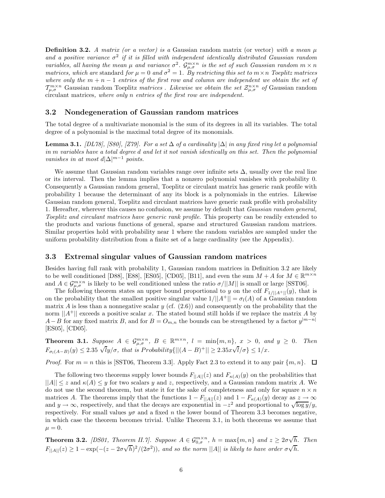**Definition 3.2.** *A matrix (or a vector) is a* Gaussian random matrix (or vector) *with a mean*  $\mu$ and a positive variance  $\sigma^2$  if it is filled with independent identically distributed Gaussian random *variables, all having the mean*  $\mu$  *and variance*  $\sigma^2$ *.*  $\mathcal{G}_{\mu,\sigma}^{m\times n}$  *is the set of such Gaussian random*  $m \times n$ *matrices, which are* standard *for*  $\mu = 0$  *and*  $\sigma^2 = 1$ *. By restricting this set to*  $m \times n$  *Toeplitz matrices where only the*  $m + n - 1$  *entries of the first row and column are independent we obtain the set of*  $\mathcal{T}_{\mu,\sigma}^{m\times n}$  Gaussian random Toeplitz *matrices . Likewise we obtain the set*  $\mathcal{Z}_{\mu,\sigma}^{n\times n}$  *of* Gaussian random circulant matrices*, where only n entries of the first row are independent.*

#### **3.2 Nondegeneration of Gaussian random matrices**

The total degree of a multivariate monomial is the sum of its degrees in all its variables. The total degree of a polynomial is the maximal total degree of its monomials.

**Lemma 3.1.** *[DL78], [S80], [Z79]. For a set* ∆ *of a cardinality* |∆| *in any fixed ring let a polynomial in m variables have a total degree d and let it not vanish identically on this set. Then the polynomial vanishes in at most*  $d|\Delta|^{m-1}$  *points.* 

We assume that Gaussian random variables range over infinite sets  $\Delta$ , usually over the real line or its interval. Then the lemma implies that a nonzero polynomial vanishes with probability 0. Consequently a Gaussian random general, Toeplitz or circulant matrix has generic rank profile with probability 1 because the determinant of any its block is a polynomials in the entries. Likewise Gaussian random general, Toeplitz and circulant matrices have generic rank profile with probability 1. Hereafter, wherever this causes no confusion, we assume by default that *Gaussian random general, Toeplitz and circulant matrices have generic rank profile.* This property can be readily extended to the products and various functions of general, sparse and structured Gaussian random matrices. Similar properties hold with probability near 1 where the random variables are sampled under the uniform probability distribution from a finite set of a large cardinality (see the Appendix).

#### **3.3 Extremal singular values of Gaussian random matrices**

Besides having full rank with probability 1, Gaussian random matrices in Definition 3.2 are likely to be well conditioned [D88], [E88], [ES05], [CD05], [B11], and even the sum  $M + A$  for  $M \in \mathbb{R}^{m \times n}$ and  $A \in \mathcal{G}_{\mu,\sigma}^{m \times n}$  is likely to be well conditioned unless the ratio  $\sigma/||M||$  is small or large [SST06].

The following theorem states an upper bound proportional to *y* on the cdf  $F_{1/||A^+||}(y)$ , that is on the probability that the smallest positive singular value  $1/||A^+|| = \sigma_l(A)$  of a Gaussian random matrix *A* is less than a nonnegative scalar *y* (cf.  $(2.6)$ ) and consequently on the probability that the norm  $||A^+||$  exceeds a positive scalar *x*. The stated bound still holds if we replace the matrix *A* by *A*−*B* for any fixed matrix *B*, and for  $B = O_{m,n}$  the bounds can be strengthened by a factor  $y^{|m-n|}$ [ES05], [CD05].

**Theorem 3.1.** Suppose  $A \in \mathcal{G}_{\mu,\sigma}^{m \times n}$ ,  $B \in \mathbb{R}^{m \times n}$ ,  $l = \min\{m,n\}$ ,  $x > 0$ , and  $y \ge 0$ . Then  $F_{\sigma_l(A-B)}(y) \le 2.35 \sqrt{l}y/\sigma$ , that is Probability $\{||(A-B)^+|| \ge 2.35x\sqrt{l}/\sigma\} \le 1/x$ .  $l/\sigma\} \leq 1/x$ *.* 

*Proof.* For  $m = n$  this is [SST06, Theorem 3.3]. Apply Fact 2.3 to extend it to any pair  $\{m, n\}$ .  $\Box$ 

The following two theorems supply lower bounds  $F_{\vert A \vert \vert}(z)$  and  $F_{\kappa(A)}(y)$  on the probabilities that  $||A|| \leq z$  and  $\kappa(A) \leq y$  for two scalars y and z, respectively, and a Gaussian random matrix A. We do not use the second theorem, but state it for the sake of completeness and only for square  $n \times n$ matrices *A*. The theorems imply that the functions  $1 - F_{||A||}(z)$  and  $1 - F_{\kappa(A)}(y)$  decay as  $z \to \infty$ and  $y \to \infty$ , respectively, and that the decays are exponential in  $-z^2$  and proportional to  $\sqrt{\log y}/y$ , respectively. For small values  $y\sigma$  and a fixed *n* the lower bound of Theorem 3.3 becomes negative, in which case the theorem becomes trivial. Unlike Theorem 3.1, in both theorems we assume that  $\mu = 0.$ 

**Theorem 3.2.** *[DS01, Theorem II.7]. Suppose*  $A \in \mathcal{G}_{0,\sigma}^{m \times n}$ ,  $h = \max\{m,n\}$  and  $z \geq 2\sigma\sqrt{2}$ *h prem II.7]. Suppose*  $A \in \mathcal{G}_{0,\sigma}^{m \times n}$ ,  $h = \max\{m, n\}$  and  $z \geq 2\sigma\sqrt{h}$ *. Then*  $F_{\vert\vert A\vert\vert}(z) \geq 1 - \exp(-(z - 2\sigma\sqrt{h})^2/(2\sigma^2))$ *, and so the norm*  $\vert\vert A\vert\vert$  *is likely to have order*  $\sigma\sqrt{h}$ *.*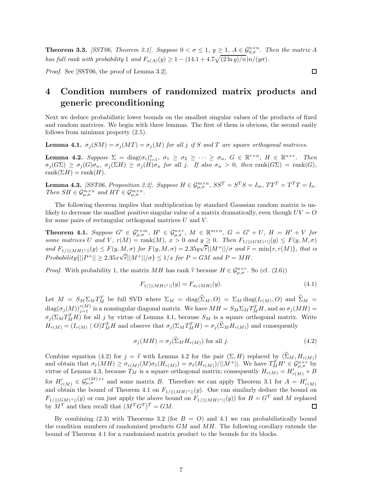**Theorem 3.3.** *[SST06, Theorem 3.1]. Suppose*  $0 < \sigma \leq 1$ ,  $y \geq 1$ ,  $A \in \mathcal{G}_{0,\sigma}^{n \times n}$ . Then the matrix A *has full rank with probability* 1 *and*  $F_{\kappa(A)}(y) \geq 1 - (14.1 + 4.7\sqrt{(2 \ln y)/n})n/(y\sigma)$ .

*Proof.* See [SST06, the proof of Lemma 3.2].

# **4 Condition numbers of randomized matrix products and generic preconditioning**

Next we deduce probabilistic lower bounds on the smallest singular values of the products of fixed and random matrices. We begin with three lemmas. The first of them is obvious, the second easily follows from minimax property (2.5).

**Lemma 4.1.**  $\sigma_i(SM) = \sigma_i(MT) = \sigma_i(M)$  for all *j* if *S* and *T* are square orthogonal matrices.

**Lemma 4.2.** Suppose  $\Sigma = \text{diag}(\sigma_i)_{i=1}^n$ ,  $\sigma_1 \ge \sigma_2 \ge \cdots \ge \sigma_n$ ,  $G \in \mathbb{R}^{r \times n}$ ,  $H \in \mathbb{R}^{n \times r}$ . Then  $\sigma_j(G\Sigma) \geq \sigma_j(G)\sigma_n$ ,  $\sigma_j(\Sigma H) \geq \sigma_j(H)\sigma_n$  for all j. If also  $\sigma_n > 0$ , then rank $(G\Sigma) = \text{rank}(G)$ ,  $rank(\Sigma H) = rank(H)$ .

**Lemma 4.3.** [SST06, Proposition 2.2]. Suppose  $H \in \mathcal{G}_{\mu,\sigma}^{m \times n}$ ,  $SS^T = S^T S = I_m$ ,  $TT^T = T^T T = I_n$ . *Then*  $SH \in \mathcal{G}_{\mu,\sigma}^{m \times n}$  *and*  $HT \in \mathcal{G}_{\mu,\sigma}^{m \times n}$ .

The following theorem implies that multiplication by standard Gaussian random matrix is unlikely to decrease the smallest positive singular value of a matrix dramatically, even though  $UV = Q$ for some pairs of rectangular orthogonal matrices *U* and *V* .

**Theorem 4.1.** Suppose  $G' \in \mathcal{G}_{\mu,\sigma}^{r \times m}$ ,  $H' \in \mathcal{G}_{\mu,\sigma}^{n \times r}$ ,  $M \in \mathbb{R}^{m \times n}$ ,  $G = G' + U$ ,  $H = H' + V$  for some matrices U and V,  $r(M) = \text{rank}(M)$ ,  $x > 0$  and  $y \ge 0$ . Then  $F_{1/||(GM)^+||}(y) \le F(y, M, \sigma)$ and  $F_{1/||(MH)+||(y)} \leq F(y, M, \sigma)$  for  $F(y, M, \sigma) = 2.35y\sqrt{\tilde{r}}||M^+||/\sigma$  and  $\hat{r} = \min\{r, r(M)\}\$ , that is  $Probability(||P^+|| \geq 2.35 \times \sqrt{\hat{r}}||M^+||/\sigma \} \leq 1/x$  *for*  $P = GM$  *and*  $P = MH$ *.* 

*Proof.* With probability 1, the matrix *MH* has rank  $\hat{r}$  because  $H \in \mathcal{G}_{\mu,\sigma}^{n \times r}$ . So (cf. (2.6))

$$
F_{1/||(MH)^+||}(y) = F_{\sigma_{\hat{r}}(MH)}(y). \tag{4.1}
$$

Let  $M = S_M \Sigma_M T_M^T$  be full SVD where  $\Sigma_M = \text{diag}(\hat{\Sigma}_M, O) = \Sigma_M \text{diag}(I_{r(M)}, O)$  and  $\hat{\Sigma}_M =$  $\text{diag}(\sigma_j(M))_{j=1}^{r(M)}$  is a nonsingular diagonal matrix. We have  $MH = S_M \Sigma_M T_M^T H$ , and so  $\sigma_j(MH) =$  $\sigma_j(\Sigma_M T_M^T H)$  for all *j* by virtue of Lemma 4.1, because  $S_M$  is a square orthogonal matrix. Write  $H_{r(M)} = (I_{r(M)} \mid O)T_M^TH$  and observe that  $\sigma_j(\Sigma_M T_M^TH) = \sigma_j(\widehat{\Sigma}_M H_{r(M)})$  and consequently

$$
\sigma_j(MH) = \sigma_j(\widehat{\Sigma}_M H_{r(M)}) \text{ for all } j.
$$
\n(4.2)

Combine equation (4.2) for  $j = \hat{r}$  with Lemma 4.2 for the pair  $(\Sigma, H)$  replaced by  $(\Sigma_M, H_r(M))$ and obtain that  $\sigma_{\widehat{r}}(MH) \geq \sigma_{r(M)}(M)\sigma_{\widehat{r}}(H_{r(M)}) = \sigma_{\widehat{r}}(H_{r(M)})/||M^+||$ . We have  $T^T_{M}H' \in \mathcal{G}_{\mu,\sigma}^{n \times r}$  by virtue of Lemma 4.3, because  $T_M$  is a square orthogonal matrix; consequently  $H_{r(M)} = H'_{r(M)} + B$ for  $H'_{r(M)} \in \mathcal{G}_{\mu,\sigma}^{r(M)\times r}$  and some matrix *B*. Therefore we can apply Theorem 3.1 for  $A = H'_{r(M)}$ and obtain the bound of Theorem 4.1 on  $F_{1/}||(MH)^+||(y)$ . One can similarly deduce the bound on *F*<sub>1</sub>/||(*GM*)+||(*y*) or can just apply the above bound on  $F_{1/||(MH)+||}(y)$  for  $H = G^T$  and *M* replaced by  $M^T$  and then recall that  $(M^T G^T)^T = GM$ . by  $\overline{M}^T$  and then recall that  $(M^T G^T)^T = GM$ .

By combining  $(2.3)$  with Theorems 3.2 (for  $B = O$ ) and 4.1 we can probabilistically bound the condition numbers of randomized products *GM* and *MH*. The following corollary extends the bound of Theorem 4.1 for a randomized matrix product to the bounds for its blocks.

 $\Box$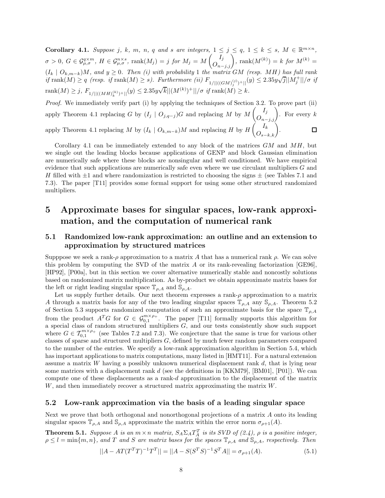**Corollary 4.1.** Suppose j, k, m, n, q and s are integers,  $1 \le j \le q$ ,  $1 \le k \le s$ ,  $M \in \mathbb{R}^{m \times n}$ ,  $\sigma > 0, G \in \mathcal{G}_{\mu,\sigma}^{q \times m}, H \in \mathcal{G}_{\mu,\sigma}^{n \times s}, \text{ rank}(M_j) = j \text{ for } M_j = M \left( \overline{I_j} \right)$ ,  $\text{rank}(M^{(k)}) = k \text{ for } M^{(k)} = \sigma$  $(I_k \mid O_{k,m-k}$  $)$ *M, and*  $y \geq 0$ *. Then (i) with probability* 1 *the matrix GM (resp. MH)* has full rank  $\langle T_k | O_{k,m-k} \rangle M$ , and  $y \ge 0$ . Then (i) with providently 1 the matrix  $GM$  (resp. MTI) has full rank<br>if  $\text{rank}(M) \ge q$  (resp. if  $\text{rank}(M) \ge s$ ). Furthermore (ii)  $F_{1/||((GM)_j^{(j)})^+||}(y) \le 2.35y\sqrt{j}||M_j^+||/\sigma$  if  $\text{rank}(M) \geq j$ ,  $F_{1/||((MH)_k^{(k)})^+||}(y) \leq 2.35y\sqrt{k}||(M^{(k)})^+||/\sigma \text{ if } \text{rank}(M) \geq k$ . *Proof.* We immediately verify part (i) by applying the techniques of Section 3.2. To prove part (ii)

apply Theorem 4.1 replacing *G* by  $(I_j \mid O_{j,q-j})$ *G* and replacing *M* by *M*  $\left(\begin{matrix} I_j \\ O_{n-j,j} \end{matrix}\right)$ . For every *k* apply Theorem 4.1 replacing *M* by  $(I_k \mid O_{k,m-k})M$  and replacing *H* by *H*  $\left(\overrightarrow{O}_{s-k,k}\right).$ 

Corollary 4.1 can be immediately extended to any block of the matrices *GM* and *MH*, but we single out the leading blocks because applications of GENP and block Gaussian elimination are numerically safe where these blocks are nonsingular and well conditioned. We have empirical evidence that such applications are numerically safe even where we use circulant multipliers *G* and *H* filled with  $\pm 1$  and where randomization is restricted to choosing the signs  $\pm$  (see Tables 7.1 and 7.3). The paper [T11] provides some formal support for using some other structured randomized multipliers.

# **5 Approximate bases for singular spaces, low-rank approximation, and the computation of numerical rank**

### **5.1 Randomized low-rank approximation: an outline and an extension to approximation by structured matrices**

Supppose we seek a rank-*ρ* approximation to a matrix *A* that has a numerical rank *ρ*. We can solve this problem by computing the SVD of the matrix *A* or its rank-revealing factorization [GE96], [HP92], [P00a], but in this section we cover alternative numerically stable and noncostly solutions based on randomized matrix multiplication. As by-product we obtain approximate matrix bases for the left or right leading singular space  $\mathbb{T}_{\rho,A}$  and  $\mathbb{S}_{\rho,A}$ .

Let us supply further details. Our next theorem expresses a rank- $\rho$  approximation to a matrix *A* through a matrix basis for any of the two leading singular spaces  $\mathbb{T}_{\rho,A}$  any  $\mathbb{S}_{\rho,A}$ . Theorem 5.2 of Section 5.3 supports randomized computation of such an approximate basis for the space  $\mathbb{T}_{\rho,A}$ from the product  $A^T G$  for  $G \in \mathcal{G}_{0,1}^{m \times \rho_+}$ . The paper [T11] formally supports this algorithm for a special class of random structured multipliers *G*, and our tests consistently show such support where  $G \in \mathcal{T}_{0,1}^{m \times \rho_+}$  (see Tables 7.2 and 7.3). We conjecture that the same is true for various other classes of sparse and structured multipliers *G*, defined by much fewer random parameters compared to the number of the entries. We specify a low-rank approximation algorithm in Section 5.4, which has important applications to matrix computations, many listed in [HMT11]. For a natural extension assume a matrix *W* having a possibly unknown numerical displacement rank *d*, that is lying near some matrices with a displacement rank *d* (see the definitions in [KKM79], [BM01], [P01]). We can compute one of these displacements as a rank-*d* approximation to the displacement of the matrix *W*, and then immediately recover a structured matrix approximating the matrix *W*.

#### **5.2 Low-rank approximation via the basis of a leading singular space**

Next we prove that both orthogonal and nonorthogonal projections of a matrix *A* onto its leading singular spaces  $\mathbb{T}_{\rho,A}$  and  $\mathbb{S}_{\rho,A}$  approximate the matrix within the error norm  $\sigma_{\rho+1}(A)$ .

**Theorem 5.1.** *Suppose A is an*  $m \times n$  *matrix,*  $S_A \Sigma_A T_A^T$  *is its SVD of (2.4),*  $\rho$  *is a positive integer,*  $\rho \leq l = \min\{m, n\}$ , and *T* and *S* are matrix bases for the spaces  $\mathbb{T}_{\rho,A}$  and  $\mathbb{S}_{\rho,A}$ , respectively. Then

$$
||A - AT(T^T T)^{-1}T^T|| = ||A - S(S^T S)^{-1}S^T A|| = \sigma_{\rho+1}(A). \tag{5.1}
$$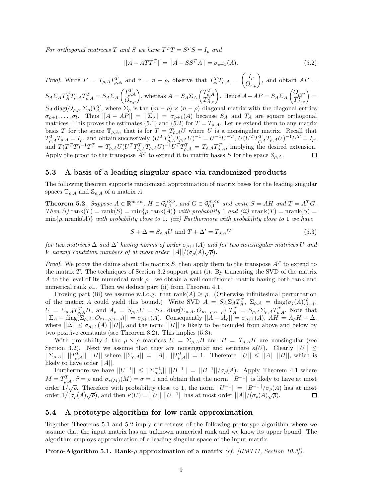*For orthogonal matrices T and S we have*  $T^{T}T = S^{T}S = I_{o}$  *and* 

$$
||A - ATTT|| = ||A - SSTA|| = \sigma_{\rho+1}(A).
$$
\n(5.2)

*Proof.* Write  $P = T_{\rho,A}T_{\rho,A}^T$  and  $r = n - \rho$ , observe that  $T_A^TT_{\rho,A} = \begin{pmatrix} I_{\rho} \\ O_{r,\rho} \end{pmatrix}$ , and obtain  $AP =$  $S_A \Sigma_A T_A^T T_{\rho, A} T_{\rho, A}^T = S_A \Sigma_A$  $\begin{pmatrix} T_{\rho,A}^T \\ O_{r,\rho} \end{pmatrix}$ , whereas  $A = S_A \Sigma_A$  $\begin{pmatrix} T_{\rho,A}^T \\ T_{A,r}^T \end{pmatrix}$ . Hence *A*−*AP* = *S<sub>A</sub>*∑<sub>*A*</sub> *Oρ,n*  $\begin{pmatrix} O_{\rho,n} \ T_{A,r}^T \end{pmatrix} =$  $S_A \text{diag}(O_{\rho,\rho}, \Sigma_\rho) T_A^T$ , where  $\Sigma_\rho$  is the  $(m - \rho) \times (n - \rho)$  diagonal matrix with the diagonal entries  $\sigma_{\rho+1}, \ldots, \sigma_l$ . Thus  $||A - AP|| = ||\Sigma_{\rho}|| = \sigma_{\rho+1}(A)$  because  $S_A$  and  $T_A$  are square orthogonal matrices. This proves the estimates (5.1) and (5.2) for  $T = T_{\rho,A}$ . Let us extend them to any matrix basis *T* for the space  $\mathbb{T}_{\rho,A}$ , that is for  $T = T_{\rho,A}U$  where *U* is a nonsingular matrix. Recall that  $T_{\rho,A}^TT_{\rho,A}=I_{\rho}$ , and obtain successively  $(U^TT_{\rho,A}^T T_{\rho,A}U)^{-1}=U^{-1}U^{-T}$ ,  $U(U^TT_{\rho,A}^TT_{\rho,A}U)^{-1}U^T=I_{\rho}$ , and  $T(T^TT)^{-1}T^T = T_{\rho,A}U(U^TT_{\rho,A}^TT_{\rho,A}U)^{-1}U^TT_{\rho,A}^T = T_{\rho,A}T_{\rho,A}^T$ , implying the desired extension. Apply the proof to the transpose  $A<sup>T</sup>$  to extend it to matrix bases *S* for the space  $\mathcal{S}_{\rho,A}$ .

#### **5.3 A basis of a leading singular space via randomized products**

The following theorem supports randomized approximation of matrix bases for the leading singular spaces  $\mathbb{T}_{\rho,A}$  and  $\mathbb{S}_{\rho,A}$  of a matrix *A*.

**Theorem 5.2.** Suppose  $A \in \mathbb{R}^{m \times n}$ ,  $H \in \mathcal{G}_{0,1}^{n \times \rho}$ , and  $G \in \mathcal{G}_{0,1}^{m \times \rho}$  and write  $S = AH$  and  $T = A^T G$ . *Then* (i)  $rank(T) = rank(S) = min{\rho, rank(A)}$  *with probability* 1 *and* (ii)  $normal(T) = rank(S)$ min{*ρ,* nrank(*A*)} *with probability close to* 1*. (iii) Furthermore with probability close to* 1 *we have*

$$
S + \Delta = S_{\rho,A} U \text{ and } T + \Delta' = T_{\rho,A} V \tag{5.3}
$$

*for two matrices*  $\Delta$  *and*  $\Delta'$  *having norms of order*  $\sigma_{\rho+1}(A)$  *and for two nonsingular matrices U and V having condition numbers of at most order*  $||A||/(\sigma_p(A)\sqrt{\rho})$ .

*Proof.* We prove the claims about the matrix *S*, then apply them to the transpose  $A<sup>T</sup>$  to extend to the matrix *T*. The techniques of Section 3.2 support part (i). By truncating the SVD of the matrix *A* to the level of its numerical rank *ρ*<sup>−</sup> we obtain a well conditioned matrix having both rank and numerical rank  $\rho_$ . Then we deduce part (ii) from Theorem 4.1.

Proving part (iii) we assume w.l.o.g. that rank( $A$ )  $\geq \rho$ . (Otherwise infinitesimal perturbation of the matrix *A* could yield this bound.) Write SVD  $\hat{A} = S_A \Sigma_A T_A^T$ ,  $\Sigma_{\rho,A} = \text{diag}(\sigma_j(A))_{j=1}^{\rho}$ ,  $U = \Sigma_{\rho,A} T_{\rho,A}^T H$ , and  $A_{\rho} = S_{\rho,A} U = S_A$  diag $(\Sigma_{\rho,A}, O_{m-\rho,n-\rho})$   $T_A^T = S_{\rho,A} \Sigma_{\rho,A} T_{\rho,A}^T$ . Note that  $||\Sigma_A - \text{diag}(\Sigma_{\rho,A}, O_{m-\rho,n-\rho})|| = \sigma_{\rho+1}(A)$ . Consequently  $||A - A_{\rho}|| = \sigma_{\rho+1}(A)$ ,  $AH = A_{\rho}H + \Delta$ , where  $||\Delta|| \leq \sigma_{\rho+1}(A)$  ||*H*||, and the norm ||*H*|| is likely to be bounded from above and below by two positive constants (see Theorem 3.2). This implies (5.3).

With probability 1 the  $\rho \times \rho$  matrices  $U = \Sigma_{\rho, A} B$  and  $B = T_{\rho, A} H$  are nonsingular (see Section 3.2). Next we assume that they are nonsingular and estimate  $\kappa(U)$ . Clearly  $||U|| \leq$  $||\sum_{\rho,A}|| ||T_{\rho,A}^T|| ||H||$  where  $||\sum_{\rho,A}|| = ||A||, ||T_{\rho,A}^T|| = 1$ . Therefore  $||U|| \le ||A|| ||H||$ , which is likely to have order ||*A*||.

Furthermore we have  $||U^{-1}|| \leq ||\sum_{\rho,A}^{-1}|| ||B^{-1}|| = ||B^{-1}|| / \sigma_{\rho}(A)$ . Apply Theorem 4.1 where  $M = T_{\rho,A}^T$ ,  $\hat{r} = \rho$  and  $\sigma_{r(M)}(M) = \sigma = 1$  and obtain that the norm  $||B^{-1}||$  is likely to have at most order  $1/\sqrt{\rho}$ . Therefore with probability close to 1, the norm  $||U^{-1}|| = ||B^{-1}||/\sigma_{\rho}(A)$  has at most order  $1/\sqrt{p}$ . Therefore with probability close to 1, the horm  $||\psi|| = ||D|| \sqrt{p^2 + (p^2 - p^2)} \rho(x)$ , order  $1/(\sigma_p(A)\sqrt{\rho})$ . 口

#### **5.4 A prototype algorithm for low-rank approximation**

Together Theorems 5.1 and 5.2 imply correctness of the following prototype algorithm where we assume that the input matrix has an unknown numerical rank and we know its upper bound. The algorithm employs approximation of a leading singular space of the input matrix.

**Proto-Algorithm 5.1. Rank-***ρ* **approximation of a matrix** *(cf. [HMT11, Section 10.3]).*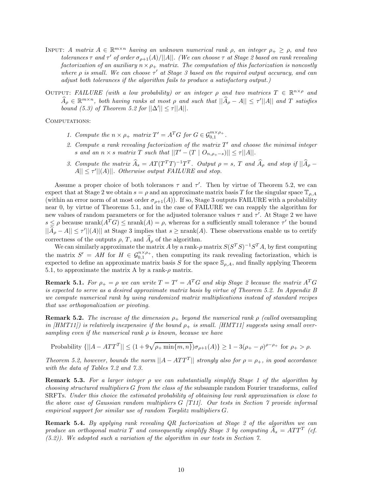- INPUT: *A matrix*  $A \in \mathbb{R}^{m \times n}$  *having an unknown numerical rank*  $\rho$ *, an integer*  $\rho_+ \geq \rho$ *, and two*  $t$ *olerances*  $\tau$  *and*  $\tau'$  *of order*  $\sigma_{o+1}(A)/||A||$ *. (We can choose*  $\tau$  *at Stage 2 based on rank revealing factorization of an auxiliary*  $n \times \rho_+$  *matrix. The computation of this factorization is noncostly where ρ is small. We can choose τ at Stage 3 based on the required output accuracy, and can adjust both tolerances if the algorithm fails to produce a satisfactory output.)*
- OUTPUT: *FAILURE* (with a low probability) or an integer  $\rho$  and two matrices  $T \in \mathbb{R}^{n \times \rho}$  and  $\widehat{A}_{\rho} \in \mathbb{R}^{m \times n}$ , both having ranks at most  $\rho$  and such that  $||\widehat{A}_{\rho} - A|| \leq \tau'||A||$  and *T* satisfies *bound* (5.3) of Theorem 5.2 for  $||\Delta'|| \le \tau ||A||$ .

COMPUTATIONS:

- *1. Compute the*  $n \times \rho_+$  *matrix*  $T' = A^T G$  *for*  $G \in \mathcal{G}_{0,1}^{m \times \rho_+}$ *.*
- *2. Compute a rank revealing factorization of the matrix T and choose the minimal integer s* and an  $n \times s$  *matrix*  $T$  *such that*  $||T' - (T \mid O_{n,\rho_+ - s})|| \leq \tau ||A||$ *.*
- 3. Compute the matrix  $\widehat{A}_s = AT(T^TT)^{-1}T^T$ . Output  $\rho = s$ , T and  $\widehat{A}_{\rho}$  and stop if  $||\widehat{A}_{\rho} A|| \leq \tau' ||(A)||$ *. Otherwise output FAILURE and stop.*

Assume a proper choice of both tolerances  $\tau$  and  $\tau'$ . Then by virtue of Theorem 5.2, we can expect that at Stage 2 we obtain  $s = \rho$  and an approximate matrix basis *T* for the singular space  $\mathbb{T}_{\rho, A}$ (within an error norm of at most order  $\sigma_{\rho+1}(A)$ ). If so, Stage 3 outputs FAILURE with a probability near 0, by virtue of Theorems 5.1, and in the case of FAILURE we can reapply the algorithm for new values of random parameters or for the adjusted tolerance values  $\tau$  and  $\tau'$ . At Stage 2 we have  $s \leq \rho$  because nrank $(A^T G) \leq$  nrank $(A) = \rho$ , whereas for a sufficiently small tolerance  $\tau'$  the bound  $||A_\rho - A|| \leq \tau' ||(A)||$  at Stage 3 implies that  $s \geq \text{nrank}(A)$ . These observations enable us to certify correctness of the outputs  $\rho$ , *T*, and  $\widehat{A}_{\rho}$  of the algorithm.

We can similarly approximate the matrix *A* by a rank- $\rho$  matrix  $S(S^T S)^{-1}S^T A$ , by first computing the matrix  $S' = AH$  for  $H \in \mathcal{G}_{0,1}^{n \times p_+}$ , then computing its rank revealing factorization, which is expected to define an approximate matrix basis *S* for the space  $\mathcal{S}_{\rho,A}$ , and finally applying Theorem 5.1, to approximate the matrix A by a rank- $\rho$  matrix.

**Remark 5.1.** For  $\rho_+ = \rho$  we can write  $T = T' = A^T G$  and skip Stage 2 because the matrix  $A^T G$ *is expected to serve as a desired approximate matrix basis by virtue of Theorem 5.2. In Appendix B we compute numerical rank by using randomized matrix multiplications instead of standard recipes that use orthogonalization or pivoting.*

**Remark 5.2.** *The increase of the dimension*  $\rho_+$  *beyond the numerical rank*  $\rho$  *(called* oversampling *in [HMT11]) is relatively inexpensive if the bound*  $\rho_{+}$  *is small. [HMT11] suggests using small oversampling even if the numerical rank ρ is known, because we have*

 $\text{Probability } \{||A - ATT^T|| \leq (1 + 9\sqrt{\rho_+ \min\{m, n\}})\sigma_{\rho+1}(A)\} \geq 1 - 3(\rho_+ - \rho)^{\rho-\rho_+} \text{ for } \rho_+ > \rho.$ 

*Theorem 5.2, however, bounds the norm*  $||A - ATT^T||$  *strongly also for*  $\rho = \rho_+$ *, in good accordance with the data of Tables 7.2 and 7.3.*

**Remark 5.3.** *For a larger integer ρ we can substantially simplify Stage 1 of the algorithm by choosing structured multipliers G from the class of the* subsample random Fourier transforms*, called* SRFTs*. Under this choice the estimated probability of obtaining low rank approximation is close to the above case of Gaussian random multipliers G [T11]. Our tests in Section 7 provide informal empirical support for similar use of random Toeplitz multipliers G.*

**Remark 5.4.** *By applying rank revealing QR factorization at Stage 2 of the algorithm we can produce an orthogonal matrix T and consequently simplify Stage 3 by computing*  $\hat{A}_s = ATT$  *(cf. (5.2)). We adopted such a variation of the algorithm in our tests in Section 7.*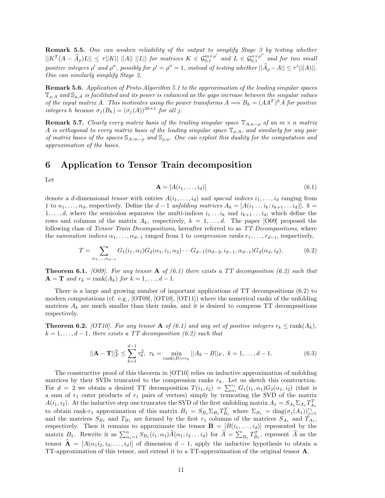**Remark 5.5.** *One can weaken reliability of the output to simplify Stage 3 by testing whether*  $||K^T(A - \widehat{A}_{\rho})L|| \leq \tau ||K|| ||A|| ||L||$  for matrices  $K \in \mathcal{G}_{0,1}^{m \times \rho'}$  and  $L \in \mathcal{G}_{0,1}^{n \times \rho''}$  and for two small *positive integers*  $\rho'$  *and*  $\rho''$ , *possibly for*  $\rho' = \rho'' = 1$ , *instead of testing whether*  $||A_{\rho} - A|| \leq \tau'||(A)||$ . *One can similarly simplify Stage 2.*

**Remark 5.6.** *Application of Proto-Algorithm 5.1 to the approximation of the leading singular spaces* T*ρ,A and* S*ρ,A is facilitated and its power is enhanced as the gaps increase between the singular values of the input matrix A. This motivates using the power transforms*  $A \Longrightarrow B_h = (AA^T)^h A$  *for positive integers h because*  $\sigma_j(B_h) = (\sigma_j(A))^{2h+1}$  *for all j.* 

**Remark 5.7.** *Clearly every matrix basis of the trailing singular space*  $\mathbb{T}_{A,n-\rho}$  *of an*  $m \times n$  *matrix A is orthogonal to every matrix basis of the leading singular space* T*ρ,A, and similarly for any pair of matrix bases of the spaces* <sup>S</sup>*A,m*−*<sup>ρ</sup> and* <sup>S</sup>*ρ,a. One can exploit this duality for the computation and approximation of the bases.*

## **6 Application to Tensor Train decomposition**

Let

$$
\mathbf{A} = [A(i_1, \dots, i_d)] \tag{6.1}
$$

denote a *d*-dimensional *tensor* with entries  $A(i_1, \ldots, i_d)$  and *spacial indices*  $i_1, \ldots, i_d$  ranging from 1 to  $n_1, \ldots, n_d$ , respectively. Define the  $d-1$  *unfolding matrices*  $A_k = [A(i_1 \ldots i_k; i_{k+1} \ldots i_d)], k =$ 1,...,d, where the semicolon separates the multi-indices  $i_1 \tildot i_k$  and  $i_{k+1} \tildot i_k$ , which define the rows and columns of the matrix  $A_k$ , respectively,  $k = 1, \ldots, d$ . The paper [O09] proposed the following class of *Tensor Train Decompositions*, hereafter referred to as *TT Decompositions*, where the *summation indices*  $\alpha_1, \ldots, \alpha_{d-1}$  ranged from 1 to *compression ranks*  $r_1, \ldots, r_{d-1}$ , respectively,

$$
T = \sum_{\alpha_1, \dots, \alpha_{d-1}} G_1(i_1, \alpha_1) G_2(\alpha_1, i_1, \alpha_2) \cdots G_{d-1}(\alpha_{d-2}, i_{d-1}, \alpha_{d-1}) G_d(\alpha_d, i_d).
$$
(6.2)

**Theorem 6.1.** *[O09]. For any tensor* **A** *of (6.1) there exists a TT decomposition (6.2) such that*  $A = \mathbf{T}$  *and*  $r_k = \text{rank}(A_k)$  *for*  $k = 1, \ldots, d - 1$ *.* 

There is a large and growing number of important applications of TT decompositions (6.2) to modern computations (cf. e.g., [OT09], [OT10], [OT11]) where the numerical ranks of the unfolding matrices  $A_k$  are much smaller than their ranks, and it is desired to compress TT decompositions respectively.

**Theorem 6.2.** *[OT10]. For any tensor* **A** *of* (6.1) and any set of positive integers  $r_k \leq \text{rank}(A_k)$ ,  $k = 1, \ldots, d-1$ , there exists a TT decomposition (6.2) such that

$$
||\mathbf{A} - \mathbf{T}||_F^2 \le \sum_{k=1}^{d-1} \tau_k^2, \ \tau_k = \min_{\text{rank}(B) = \tau_k} ||A_k - B||_F, \ k = 1, \dots, d-1.
$$
 (6.3)

The constructive proof of this theorem in [OT10] relies on inductive approximation of unfolding matrices by their SVDs truncated to the compression ranks  $r_k$ . Let us sketch this construction. For  $d = 2$  we obtain a desired TT decomposition  $T(i_1, i_2) = \sum_{\alpha_1}^{r_1} G_1(i_1, \alpha_1) G_2(\alpha_1, i_2)$  (that is a sum of *r*<sup>1</sup> outer products of *r*<sup>1</sup> pairs of vectors) simply by truncating the SVD of the matrix *A*(*i*<sub>1</sub>, *i*<sub>2</sub>). At the inductive step one truncates the SVD of the first unfolding matrix  $A_1 = S_{A_1} \Sigma_{A_1} T_{A_1}^T$ to obtain rank-*r*<sub>1</sub> approximation of this matrix  $B_1 = S_{B_1} \Sigma_{B_1} T_{B_1}^T$  where  $\Sigma_{B_1} = \text{diag}(\sigma_j(A_1))_{j=1}^{r_1}$ and the matrices  $S_{B_1}$  and  $T_{B_1}$  are formed by the first  $r_1$  columns of the matrices  $S_{A_1}$  and  $T_{A_1}$ , respectively. Then it remains to approximate the tensor  $\mathbf{B} = [B(i_1, \ldots, i_d)]$  represented by the matrix  $B_1$ . Rewrite it as  $\sum_{\alpha_1=1}^n S_{B_1}(i_1;\alpha_1)\widehat{A}(\alpha_1;i_2\ldots i_d)$  for  $\widehat{A} = \sum_{B_1} T_{B_1}^T$ , represent  $\widehat{A}$  as the tensor  $\hat{\mathbf{A}} = [A(\alpha_1 i_2, i_3, \dots, i_d)]$  of dimension  $d-1$ , apply the inductive hypothesis to obtain a TT-approximation of this tensor, and extend it to a TT-approximation of the original tensor **A**.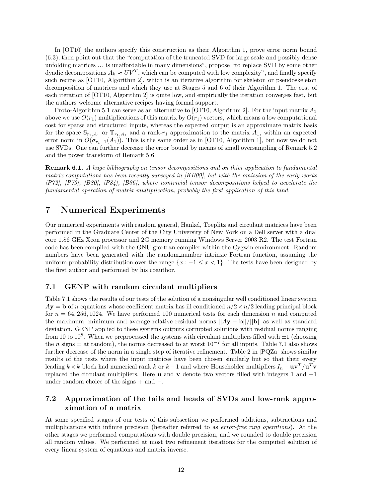In [OT10] the authors specify this construction as their Algorithm 1, prove error norm bound (6.3), then point out that the "computation of the truncated SVD for large scale and possibly dense unfolding matrices ... is unaffordable in many dimensions", propose "to replace SVD by some other dyadic decompositions  $A_k \approx UV^T$ , which can be computed with low complexity", and finally specify such recipe as [OT10, Algorithm 2], which is an iterative algorithm for skeleton or pseudoskeleton decomposition of matrices and which they use at Stages 5 and 6 of their Algorithm 1. The cost of each iteration of [OT10, Algorithm 2] is quite low, and empirically the iteration converges fast, but the authors welcome alternative recipes having formal support.

Proto-Algorithm 5.1 can serve as an alternative to [OT10, Algorithm 2]. For the input matrix *A*1 above we use  $O(r_1)$  multiplications of this matrix by  $O(r_1)$  vectors, which means a low computational cost for sparse and structured inputs, whereas the expected output is an approximate matrix basis for the space  $\mathbb{S}_{r_1,A_1}$  or  $\mathbb{T}_{r_1,A_1}$  and a rank- $r_1$  approximation to the matrix  $A_1$ , within an expected error norm in  $O(\sigma_{r+1}(A_1))$ . This is the same order as in [OT10, Algorithm 1], but now we do not use SVDs. One can further decrease the error bound by means of small oversampling of Remark 5.2 and the power transform of Remark 5.6.

**Remark 6.1.** *A huge bibliography on tensor decompositions and on thier application to fundamental matrix computations has been recently surveyed in [KB09], but with the omission of the early works [P72], [P79], [B80], [P84], [B86], where nontrivial tensor decompositions helped to accelerate the fundamental operation of matrix multiplication, probably the first application of this kind.*

# **7 Numerical Experiments**

Our numerical experiments with random general, Hankel, Toeplitz and circulant matrices have been performed in the Graduate Center of the City University of New York on a Dell server with a dual core 1.86 GHz Xeon processor and 2G memory running Windows Server 2003 R2. The test Fortran code has been compiled with the GNU gfortran compiler within the Cygwin environment. Random numbers have been generated with the random number intrinsic Fortran function, assuming the uniform probability distribution over the range  $\{x : -1 \leq x < 1\}$ . The tests have been designed by the first author and performed by his coauthor.

#### **7.1 GENP with random circulant multipliers**

Table 7.1 shows the results of our tests of the solution of a nonsingular well conditioned linear system  $A$ **y** = **b** of *n* equations whose coefficient matrix has ill conditioned  $n/2 \times n/2$  leading principal block for  $n = 64,256,1024$ . We have performed 100 numerical tests for each dimension *n* and computed the maximum, minimum and average relative residual norms ||*A***y** − **b**||*/*||**b**|| as well as standard deviation. GENP applied to these systems outputs corrupted solutions with residual norms ranging from 10 to 10<sup>8</sup>. When we preprocessed the systems with circulant multipliers filled with  $\pm 1$  (choosing the *n* signs  $\pm$  at random), the norms decreased to at worst  $10^{-7}$  for all inputs. Table 7.1 also shows further decrease of the norm in a single step of iterative refinement. Table 2 in [PQZa] shows similar results of the tests where the input matrices have been chosen similarly but so that their every leading  $k \times k$  block had numerical rank *k* or  $k-1$  and where Householder multipliers  $I_n - \mathbf{u}\mathbf{v}^T/\mathbf{u}^T\mathbf{v}$ replaced the circulant multipliers. Here **u** and **v** denote two vectors filled with integers 1 and −1 under random choice of the signs + and −.

### **7.2 Approximation of the tails and heads of SVDs and low-rank approximation of a matrix**

At some specified stages of our tests of this subsection we performed additions, subtractions and multiplications with infinite precision (hereafter referred to as *error-free ring operations*). At the other stages we performed computations with double precision, and we rounded to double precision all random values. We performed at most two refinement iterations for the computed solution of every linear system of equations and matrix inverse.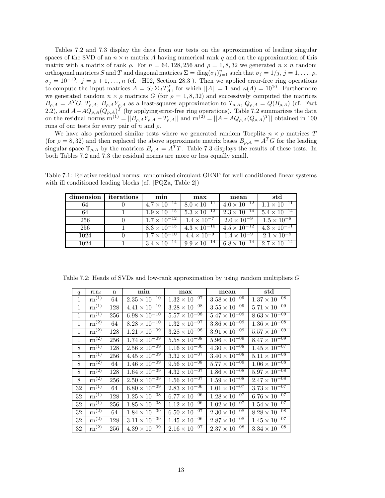Tables 7.2 and 7.3 display the data from our tests on the approximation of leading singular spaces of the SVD of an  $n \times n$  matrix A having numerical rank q and on the approximation of this matrix with a matrix of rank  $\rho$ . For  $n = 64, 128, 256$  and  $\rho = 1, 8, 32$  we generated  $n \times n$  random orthogonal matrices *S* and *T* and diagonal matrices  $\Sigma = \text{diag}(\sigma_j)_{j=1}^n$  such that  $\sigma_j = 1/j$ ,  $j = 1, \ldots, \rho$ ,  $\sigma_j = 10^{-10}$ ,  $j = \rho + 1, \ldots, n$  (cf. [H02, Section 28.3]). Then we applied error-free ring operations to compute the input matrices  $A = S_A \Sigma_A T_A^T$ , for which  $||A|| = 1$  and  $\kappa(A) = 10^{10}$ . Furthermore we generated random  $n \times \rho$  matrices *G* (for  $\rho = 1, 8, 32$ ) and successively computed the matrices  $B_{\rho,A} = A^T G$ ,  $T_{\rho,A}$ ,  $B_{\rho,A} Y_{\rho,A}$  as a least-squares approximation to  $T_{\rho,A}$ ,  $Q_{\rho,A} = Q(B_{\rho,A})$  (cf. Fact 2.2), and  $A-AQ_{\rho,A}(Q_{\rho,A})^T$  (by applying error-free ring operations). Table 7.2 summarizes the data on the residual norms  $\text{rn}^{(1)} = ||B_{\rho,A}Y_{\rho,A} - T_{\rho,A}||$  and  $\text{rn}^{(2)} = ||A - AQ_{\rho,A}(Q_{\rho,A})^T||$  obtained in 100 runs of our tests for every pair of *n* and *ρ*.

We have also performed similar tests where we generated random Toeplitz  $n \times \rho$  matrices *T* (for  $\rho = 8,32$ ) and then replaced the above approximate matrix bases  $B_{\rho,A} = A^T G$  for the leading singular space  $\mathbb{T}_{\rho,A}$  by the matrices  $B_{\rho,A} = A^T T$ . Table 7.3 displays the results of these tests. In both Tables 7.2 and 7.3 the residual norms are more or less equally small.

| dimension | iterations | min                                        | max                                                                                           | mean                                                      | std                                         |
|-----------|------------|--------------------------------------------|-----------------------------------------------------------------------------------------------|-----------------------------------------------------------|---------------------------------------------|
| 64        |            |                                            | $4.7 \times 10^{-14}$   $8.0 \times 10^{-11}$                                                 |                                                           | $4.0 \times 10^{-12}$ 1.1 $\times 10^{-11}$ |
| 64        |            |                                            | $1.9 \times 10^{-15}$ $5.3 \times 10^{-13}$                                                   | $2.3 \times 10^{-14}$                                     | $5.4 \times 10^{-14}$                       |
| 256       |            | $1.7 \times 10^{-12}$ $1.4 \times 10^{-7}$ |                                                                                               | $\boxed{2.0 \times 10^{-9}}$ $\boxed{1.5 \times 10^{-8}}$ |                                             |
| 256       |            |                                            | $8.3 \times 10^{-15}$   $4.3 \times 10^{-10}$                                                 | $4.5 \times 10^{-12}$ $4.3 \times 10^{-11}$               |                                             |
| 1024      |            | $1.7 \times 10^{-10}$                      | $4.4 \times 10^{-9}$                                                                          | $1.4 \times 10^{-9}$                                      | $2.1 \times 10^{-9}$                        |
| 1024      |            |                                            | $3.4 \times 10^{-14}$   $9.9 \times 10^{-14}$   $6.8 \times 10^{-14}$   $2.7 \times 10^{-14}$ |                                                           |                                             |

Table 7.1: Relative residual norms: randomized circulant GENP for well conditioned linear systems with ill conditioned leading blocks (cf. [PQZa, Table 2])

Table 7.2: Heads of SVDs and low-rank approximation by using random multipliers *G*

| q            | $\text{rrn}_i$                            | $\mathbf n$ | min                    | max                    | mean                              | $_{\rm std}$           |
|--------------|-------------------------------------------|-------------|------------------------|------------------------|-----------------------------------|------------------------|
| 1            | $\mathrm{rn}^{(1)}$                       | 64          | $2.35 \times 10^{-10}$ | $1.32 \times 10^{-07}$ | $3.58 \times 10^{-09}$            | $1.37 \times 10^{-08}$ |
| 1            | $\mathrm{rn}^{(1)}$                       | 128         | $4.41 \times 10^{-10}$ | $3.28 \times 10^{-08}$ | $3.55 \times 10^{-09}$            | $5.71 \times 10^{-09}$ |
| $\mathbf{1}$ | $\text{rn}^{(1)}$                         | 256         | $6.98 \times 10^{-10}$ | $5.57 \times 10^{-08}$ | $5.47 \times 10^{-09}$            | $8.63 \times 10^{-09}$ |
| $\mathbf{1}$ | $\overline{\text{rn}^{(2)}}$              | 64          | $8.28 \times 10^{-10}$ | $1.32 \times 10^{-07}$ | $3.86 \times 10^{-09}$            | $1.36 \times 10^{-08}$ |
| $\mathbf{1}$ | $\rm{rn}^{(2)}$                           | 128         | $1.21 \times 10^{-09}$ | $3.28 \times 10^{-08}$ | $3.91 \times 10^{-09}$            | $5.57 \times 10^{-09}$ |
| 1            | $\mathrm{rn}^{\left(2\right)}$            | 256         | $1.74 \times 10^{-09}$ | $5.58 \times 10^{-08}$ | $5.96 \times 10^{-09}$            | $8.47 \times 10^{-09}$ |
| 8            | $\mathrm{rn}^{(1)}$                       | 128         | $2.56 \times 10^{-09}$ | $1.16 \times 10^{-06}$ | $4.30 \times 10^{-08}$            | $1.45 \times 10^{-07}$ |
| 8            | $\mathrm{rn}^{(1)}$                       | 256         | $4.45 \times 10^{-09}$ | $3.32 \times 10^{-07}$ | $3.40 \times 10^{-08}$            | $5.11 \times 10^{-08}$ |
| 8            | $\overline{\mathrm{rn}^{(2)}}$            | 64          | $1.46 \times 10^{-09}$ | $9.56 \times 10^{-08}$ | $5.77 \times 10^{-09}$            | $1.06 \times 10^{-08}$ |
| 8            | $\overline{\mathrm{rn}}^{(2)}$            | 128         | $1.64 \times 10^{-09}$ | $4.32 \times 10^{-07}$ | $1.86 \times 10^{-08}$            | $5.97 \times 10^{-08}$ |
| 8            | $\overline{\mathrm{rn}^{\left(2\right)}}$ | 256         | $2.50 \times 10^{-09}$ | $1.56 \times 10^{-07}$ | $1.59 \times 10^{-08}$            | $2.47 \times 10^{-08}$ |
| 32           | $rn^{(1)}$                                | 64          | $6.80 \times 10^{-09}$ | $2.83 \times 10^{-06}$ | $1.01 \times 10^{-07}$            | $3.73 \times 10^{-07}$ |
| 32           | $\overline{\mathrm{rn}}^{(1)}$            | 128         | $1.25 \times 10^{-08}$ | $6.77 \times 10^{-06}$ | $1.28 \times 10^{-07}$            | $6.76 \times 10^{-07}$ |
| 32           | $\text{rn}^{(1)}$                         | 256         | $1.85 \times 10^{-08}$ | $1.12 \times 10^{-06}$ | $1.02 \times 10^{-\overline{07}}$ | $1.54 \times 10^{-07}$ |
| 32           | $\overline{\text{rn}}^{(2)}$              | 64          | $1.84 \times 10^{-09}$ | $6.50 \times 10^{-07}$ | $2.30 \times 10^{-08}$            | $8.28 \times 10^{-08}$ |
| 32           | $\mathrm{rn}^{(2)}$                       | 128         | $3.11 \times 10^{-09}$ | $1.45 \times 10^{-06}$ | $2.87 \times 10^{-08}$            | $1.45 \times 10^{-07}$ |
| 32           | $\overline{\mathrm{rn}^{(2)}}$            | 256         | $4.39 \times 10^{-09}$ | $2.16 \times 10^{-07}$ | $2.37 \times 10^{-08}$            | $3.34 \times 10^{-08}$ |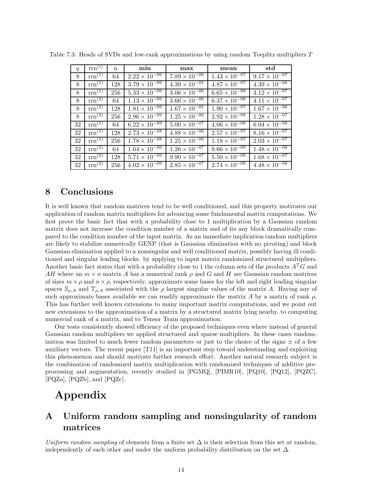| q  | $\text{rrn}^{(i)}$ | $\mathbf n$ | min                               | max                    | mean                   | std                    |
|----|--------------------|-------------|-----------------------------------|------------------------|------------------------|------------------------|
| 8  | $rm^{(1)}$         | 64          | $2.22 \times 10^{-09}$            | $7.89 \times 10^{-06}$ | $1.43 \times 10^{-07}$ | $9.17 \times 10^{-07}$ |
| 8  | $rm^{(1)}$         | 128         | $3.79 \times 10^{-09}$            | $4.39 \times 10^{-05}$ | $4.87 \times 10^{-07}$ | $4.39 \times 10^{-06}$ |
| 8  | $rm^{(1)}$         | 256         | $5.33 \times 10^{-09}$            | $3.06 \times 10^{-06}$ | $6.65 \times 10^{-08}$ | $3.12 \times 10^{-07}$ |
| 8  | $rm^{(2)}$         | 64          | $1.13 \times 10^{-\overline{09}}$ | $3.66 \times 10^{-06}$ | $6.37 \times 10^{-08}$ | $4.11 \times 10^{-07}$ |
| 8  | $rm^{(2)}$         | 128         | $1.81 \times 10^{-09}$            | $1.67 \times 10^{-05}$ | $1.90 \times 10^{-07}$ | $1.67 \times 10^{-06}$ |
| 8  | $\text{rrn}^{(2)}$ | 256         | $2.96 \times 10^{-09}$            | $1.25 \times 10^{-06}$ | $2.92 \times 10^{-08}$ | $1.28 \times 10^{-07}$ |
| 32 | $rm^{(1)}$         | 64          | $6.22 \times 10^{-09}$            | $5.00 \times 10^{-07}$ | $4.06 \times 10^{-08}$ | $6.04 \times 10^{-08}$ |
| 32 | $rm^{(1)}$         | 128         | $2.73 \times 10^{-08}$            | $4.88 \times 10^{-06}$ | $2.57 \times 10^{-07}$ | $8.16 \times 10^{-07}$ |
| 32 | $rm^{(1)}$         | 256         | $1.78 \times 10^{-08}$            | $1.25 \times 10^{-06}$ | $1.18 \times 10^{-07}$ | $2.03 \times 10^{-07}$ |
| 32 | $rm^{(2)}$         | 64          | $1.64 \times 10^{-09}$            | $1.26 \times 10^{-07}$ | $9.66 \times 10^{-09}$ | $1.48 \times 10^{-08}$ |
| 32 | $rm^{(2)}$         | 128         | $5.71 \times 10^{-09}$            | $9.90 \times 10^{-07}$ | $5.50 \times 10^{-08}$ | $1.68 \times 10^{-07}$ |
| 32 | $rm^{(2)}$         | 256         | $4.02 \times 10^{-09}$            | $2.85 \times 10^{-07}$ | $2.74 \times 10^{-08}$ | $4.48 \times 10^{-08}$ |

Table 7.3: Heads of SVDs and low-rank approximations by using random Toeplitz multipliers *T*

## **8 Conclusions**

It is well known that random matrices tend to be well conditioned, and this property motivates our application of random matrix multipliers for advancing some fundamental matrix computations. We first prove the basic fact that with a probability close to 1 multiplication by a Gaussian random matrix does not increase the condition number of a matrix and of its any block dramatically compared to the condition number of the input matrix. As an immediate implication random multipliers are likely to stabilize numerically GENP (that is Gaussian elimination with no pivoting) and block Gaussian elimination applied to a nonsingular and well conditioned matrix, possibly having ill conditioned and singular leading blocks. by applying to input matrix randomized structured multipliers. Another basic fact states that with a probability close to 1 the column sets of the products *A<sup>T</sup>G* and *AH* where an  $m \times n$  matrix *A* has a numerical rank  $\rho$  and *G* and *H* are Gaussian random matrices of sizes  $m \times \rho$  and  $n \times \rho$ , respectively, approximate some bases for the left and right leading singular spaces  $\mathbb{S}_{\rho,A}$  and  $\mathbb{T}_{\rho,A}$  associated with the  $\rho$  largest singular values of the matrix A. Having any of such approximate bases available we can readily approximate the matrix *A* by a matrix of rank  $\rho$ , This has further well known extensions to many important matrix computations, and we point out new extensions to the approximation of a matrix by a structured matrix lying nearby, to computing numercial rank of a matrix, and to Tensor Train approximation.

Our tests consistently showed efficiency of the proposed techniques even where instead of general Gaussian random multipliers we applied structured and sparse multipliers. In these cases randomization was limited to much fewer random parameters or just to the choice of the signs  $\pm$  of a few auxiliary vectors. The recent paper [T11] is an important step toward understanding and exploiting this phenomenon and should motivate further research effort. Another natural research subject is the combination of randomized matrix multiplication with randomized techniques of additive preprocessing and augmentation, recently studied in [PGMQ], [PIMR10], [PQ10], [PQ12], [PQZC], [PQZa], [PQZb], and [PQZc].

# **Appendix**

# **A Uniform random sampling and nonsingularity of random matrices**

*Uniform random sampling* of elements from a finite set  $\Delta$  is their selection from this set at random, independently of each other and under the uniform probability distribution on the set  $\Delta$ .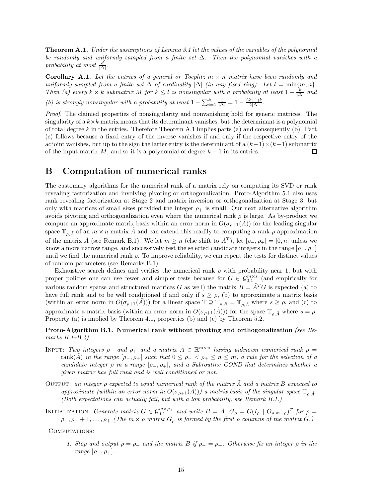**Theorem A.1.** *Under the assumptions of Lemma 3.1 let the values of the variables of the polynomial be randomly and uniformly sampled from a finite set* ∆*. Then the polynomial vanishes with a*  $\text{probability at most } \frac{d}{|\Delta|}.$ 

**Corollary A.1.** Let the entries of a general or Toeplitz  $m \times n$  matrix have been randomly and *uniformly sampled from a finite set*  $\Delta$  *of cardinality*  $|\Delta|$  *(in any fixed ring). Let*  $l = \min\{m, n\}$ *. Then* (a) every  $k \times k$  *submatrix*  $M$  *for*  $k \leq l$  *is nonsingular with a probability at least*  $1 - \frac{k}{|\Delta|}$  *and (b) is strongly nonsingular with a probability at least*  $1 - \sum_{i=1}^{k} \frac{i}{|\Delta|} = 1 - \frac{(k+1)k}{2|\Delta|}$ .

*Proof.* The claimed properties of nonsingularity and nonvanishing hold for generic matrices. The singularity of a  $k \times k$  matrix means that its determinant vanishes, but the determinant is a polynomial of total degree *k* in the entries. Therefore Theorem A.1 implies parts (a) and consequently (b). Part (c) follows because a fixed entry of the inverse vanishes if and only if the respective entry of the adjoint vanishes, but up to the sign the latter entry is the determinant of a  $(k-1)\times(k-1)$  submatrix of the input matrix  $M$ , and so it is a polynomial of degree  $k-1$  in its entries. □

## **B Computation of numerical ranks**

The customary algorithms for the numerical rank of a matrix rely on computing its SVD or rank revealing factorization and involving pivoting or orthogonalization. Proto-Algorithm 5.1 also uses rank revealing factorization at Stage 2 and matrix inversion or orthogonalization at Stage 3, but only with matrices of small sizes provided the integer  $\rho_+$  is small. Our next alternative algorithm avoids pivoting and orthogonalization even where the numerical rank  $\rho$  is large. As by-product we compute an approximate matrix basis within an error norm in  $O(\sigma_{\rho+1}(A))$  for the leading singular space  $\mathbb{T}_{\rho,\tilde{A}}$  of an  $m \times n$  matrix  $\tilde{A}$  and can extend this readily to computing a rank- $\rho$  approximation of the matrix  $\tilde{A}$  (see Remark B.1). We let  $m \geq n$  (else shift to  $\tilde{A}^{T}$ ), let  $[\rho_{-}, \rho_{+}] = [0, n]$  unless we know a more narrow range, and successively test the selected candidate integers in the range  $[\rho_-, \rho_+]$ until we find the numerical rank  $\rho$ . To improve reliability, we can repeat the tests for distinct values of random parameters (see Remarks B.1).

Exhaustive search defines and verifies the numerical rank  $\rho$  with probability near 1, but with proper policies one can use fewer and simpler tests because for  $G \in \mathcal{G}_{0,1}^{m \times s}$  (and empirically for various random sparse and structured matrices *G* as well) the matrix  $B = \tilde{A}^T G$  is expected (a) to have full rank and to be well conditioned if and only if  $s \ge \rho$ , (b) to approximate a matrix basis (within an error norm in  $O(\sigma_{\rho+1}(\tilde{A}))$ ) for a linear space  $\mathbb{T} \supseteq \mathbb{T}_{\rho,B} = \mathbb{T}_{\rho,\tilde{A}}$  where  $s \geq \rho$ , and (c) to approximate a matrix basis (within an error norm in  $O(\sigma_{\rho+1}(\tilde{A})))$  for the space  $\mathbb{T}_{\rho,\tilde{A}}$  where  $s = \rho$ . Property (a) is implied by Theorem 4.1, properties (b) and (c) by Theorem 5.2.

#### **Proto-Algorithm B.1. Numerical rank without pivoting and orthogonalization** *(see Remarks B.1–B.4).*

- INPUT: *Two integers*  $\rho_-\$  *and*  $\rho_+\$  *and a matrix*  $\tilde{A} \in \mathbb{R}^{m \times n}$  *having unknown numerical rank*  $\rho =$ rank $(\tilde{A})$  *in the range*  $[\rho_-, \rho_+]$  *such that*  $0 \leq \rho_- < \rho_+ \leq n \leq m$ , *a rule for the selection of a candidate integer*  $\rho$  *in a range*  $[\rho_-, \rho_+]$ *, and a Subroutine COND that determines whether a given matrix has full rank and is well conditioned or not.*
- Output: *an integer ρ expected to equal numerical rank of the matrix A*˜ *and a matrix B expected to approximate (within an error norm in*  $O(\sigma_{\rho+1}(\tilde{A})))$  *a matrix basis of the singular space*  $\mathbb{T}_{\rho,\tilde{A}}$ *. (Both expectations can actually fail, but with a low probability, see Remark B.1.)*

INITIALIZATION: Generate matrix  $G \in \mathcal{G}_{0,1}^{m \times \rho_+}$  and write  $B = \tilde{A}$ ,  $G_{\rho} = G(I_{\rho} \mid O_{\rho,m-\rho})^T$  for  $\rho =$ *ρ*−*, ρ*<sup>−</sup> + 1*,...,ρ*<sup>+</sup> *(The m* × *ρ matrix G<sup>ρ</sup> is formed by the first ρ columns of the matrix G.)*

Computations*:*

*1. Stop and output*  $\rho = \rho_+$  *and the matrix*  $B$  *if*  $\rho_- = \rho_+$ *. Otherwise fix an integer*  $\rho$  *in the range*  $[\rho_-, \rho_+]$ *.*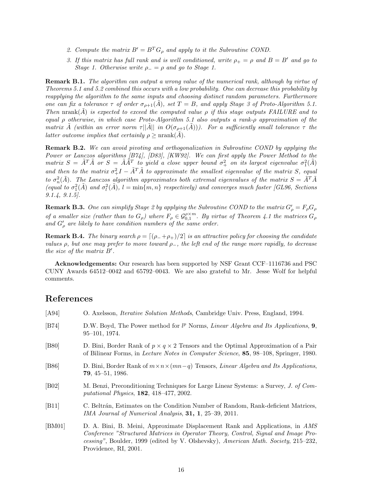- 2. Compute the matrix  $B' = B^T G$ <sup>0</sup> and apply to it the Subroutine COND.
- *3. If this matrix has full rank and is well conditioned, write*  $\rho_{+} = \rho$  *and*  $B = B'$  *and go to Stage 1. Otherwise write*  $\rho = \rho$  *and go to Stage 1.*

**Remark B.1.** *The algorithm can output a wrong value of the numerical rank, although by virtue of Theorems 5.1 and 5.2 combined this occurs with a low probability. One can decrease this probability by reapplying the algorithm to the same inputs and choosing distinct random parameters. Furthermore one can fix a tolerance*  $\tau$  *of order*  $\sigma_{\rho+1}(A)$ *, set*  $T = B$ *, and apply Stage 3 of Proto-Algorithm 5.1. Then* nrank $(\tilde{A})$  *is expected to exceed the computed value*  $\rho$  *if this stage outputs FAILURE and to equal ρ otherwise, in which case Proto-Algorithm 5.1 also outputs a rank-ρ approximation of the matrix A* (within an error norm  $\tau$ ||A|| *in*  $O(\sigma_{\rho+1}(A))$ ). For a sufficiently small tolerance  $\tau$  the *latter outcome implies that certainly*  $\rho \geq \text{nrank}(\tilde{A})$ *.* 

**Remark B.2.** *We can avoid pivoting and orthogonalization in Subroutine COND by applying the Power or Lanczos algorithms [B74], [D83], [KW92]. We can first apply the Power Method to the matrix*  $S = \tilde{A}^T \tilde{A}$  *or*  $S = \tilde{A} \tilde{A}^T$  *to yield a close upper bound*  $\sigma^2$  *on its largest eigenvalue*  $\sigma^2_1(\tilde{A})$ and then to the matrix  $\sigma^2 + I - \tilde{A}^T \tilde{A}$  to approximate the smallest eigenvalue of the matrix *S*, equal *to*  $\sigma_n^2(\tilde{A})$ *. The Lanczos algorithm approximates both extremal eigenvalues of the matrix*  $S = \tilde{A}^T\tilde{A}$ (equal to  $\sigma_1^2(\tilde{A})$  and  $\sigma_l^2(\tilde{A})$ ,  $l = \min\{m, n\}$  respectively) and converges much faster [GL96, Sections *9.1.4, 9.1.5].*

**Remark B.3.** One can simplify Stage 2 by applying the Subroutine COND to the matrix  $G'_{\rho} = F_{\rho}G_{\rho}$ *of a smaller size (rather than to*  $G_{\rho}$ ) where  $F_{\rho} \in \mathcal{G}_{0,1}^{\rho \times m}$ . By virtue of Theorem 4.1 the matrices  $G_{\rho}$ and  $G'_{\rho}$  are likely to have condition numbers of the same order.

**Remark B.4.** *The binary search*  $\rho = \left[ (\rho_- + \rho_+)/2 \right]$  *is an attractive policy for choosing the candidate values ρ, but one may prefer to move toward ρ*−*, the left end of the range more rapidly, to decrease the size of the matrix B .*

**Acknowledgements:** Our research has been supported by NSF Grant CCF–1116736 and PSC CUNY Awards 64512–0042 and 65792–0043. We are also grateful to Mr. Jesse Wolf for helpful comments.

# **References**

| [A94]          | O. Axelsson, <i>Iterative Solution Methods</i> , Cambridge Univ. Press, England, 1994.                                                                                                                                                                                            |
|----------------|-----------------------------------------------------------------------------------------------------------------------------------------------------------------------------------------------------------------------------------------------------------------------------------|
| [B74]          | D.W. Boyd, The Power method for $l^p$ Norms, <i>Linear Algebra and Its Applications</i> , 9,<br>$95-101, 1974.$                                                                                                                                                                   |
| [ <b>B80</b> ] | D. Bini, Border Rank of $p \times q \times 2$ Tensors and the Optimal Approximation of a Pair<br>of Bilinear Forms, in Lecture Notes in Computer Science, 85, 98–108, Springer, 1980.                                                                                             |
| [ <b>B86</b> ] | D. Bini, Border Rank of $m \times n \times (mn-q)$ Tensors, <i>Linear Algebra and Its Applications</i> ,<br>$79, 45 - 51, 1986.$                                                                                                                                                  |
| [ <b>B02</b> ] | M. Benzi, Preconditioning Techniques for Large Linear Systems: a Survey, J. of Com-<br>putational Physics, $182, 418-477, 2002$ .                                                                                                                                                 |
| [B11]          | C. Beltrán, Estimates on the Condition Number of Random, Rank-deficient Matrices,<br><i>IMA Journal of Numerical Analysis</i> , <b>31, 1</b> , $25-39$ , $2011$ .                                                                                                                 |
| [BM01]         | D. A. Bini, B. Meini, Approximate Displacement Rank and Applications, in AMS<br>Conference "Structured Matrices in Operator Theory, Control, Signal and Image Pro-<br>cessing", Boulder, 1999 (edited by V. Olshevsky), American Math. Society, 215–232,<br>Providence, RI, 2001. |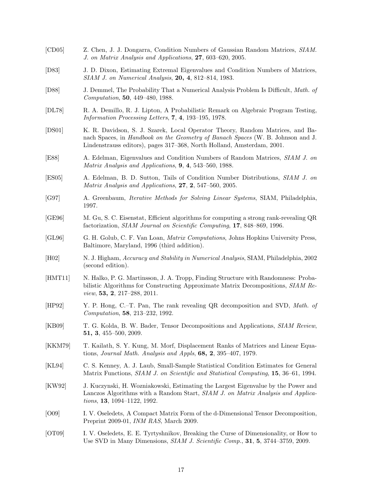[CD05] Z. Chen, J. J. Dongarra, Condition Numbers of Gaussian Random Matrices, *SIAM. J. on Matrix Analysis and Applications*, **27**, 603–620, 2005. [D83] J. D. Dixon, Estimating Extremal Eigenvalues and Condition Numbers of Matrices, *SIAM J. on Numerical Analysis*, **20, 4**, 812–814, 1983. [D88] J. Demmel, The Probability That a Numerical Analysis Problem Is Difficult, *Math. of Computation*, **50**, 449–480, 1988. [DL78] R. A. Demillo, R. J. Lipton, A Probabilistic Remark on Algebraic Program Testing, *Information Processing Letters*, **7**, **4**, 193–195, 1978. [DS01] K. R. Davidson, S. J. Szarek, Local Operator Theory, Random Matrices, and Banach Spaces, in *Handbook on the Geometry of Banach Spaces* (W. B. Johnson and J. Lindenstrauss editors), pages 317–368, North Holland, Amsterdam, 2001. [E88] A. Edelman, Eigenvalues and Condition Numbers of Random Matrices, *SIAM J. on Matrix Analysis and Applications*, **9**, **4**, 543–560, 1988. [ES05] A. Edelman, B. D. Sutton, Tails of Condition Number Distributions, *SIAM J. on Matrix Analysis and Applications*, **27**, **2**, 547–560, 2005. [G97] A. Greenbaum, *Iterative Methods for Solving Linear Systems*, SIAM, Philadelphia, 1997. [GE96] M. Gu, S. C. Eisenstat, Efficient algorithms for computing a strong rank-revealing QR factorization, *SIAM Journal on Scientific Computing*, **17**, 848–869, 1996. [GL96] G. H. Golub, C. F. Van Loan, *Matrix Computations*, Johns Hopkins University Press, Baltimore, Maryland, 1996 (third addition). [H02] N. J. Higham, *Accuracy and Stability in Numerical Analysis*, SIAM, Philadelphia, 2002 (second edition). [HMT11] N. Halko, P. G. Martinsson, J. A. Tropp, Finding Structure with Randomness: Probabilistic Algorithms for Constructing Approximate Matrix Decompositions, *SIAM Review*, **53, 2**, 217–288, 2011. [HP92] Y. P. Hong, C.–T. Pan, The rank revealing QR decomposition and SVD, *Math. of Computation*, **58**, 213–232, 1992. [KB09] T. G. Kolda, B. W. Bader, Tensor Decompositions and Applications, *SIAM Review*, **51, 3**, 455–500, 2009. [KKM79] T. Kailath, S. Y. Kung, M. Morf, Displacement Ranks of Matrices and Linear Equations, *Journal Math. Analysis and Appls*, **68, 2**, 395–407, 1979. [KL94] C. S. Kenney, A. J. Laub, Small-Sample Statistical Condition Estimates for General Matrix Functions, *SIAM J. on Scientific and Statistical Computing*, **15**, 36–61, 1994. [KW92] J. Kuczynski, H. Wozniakowski, Estimating the Largest Eigenvalue by the Power and Lanczos Algorithms with a Random Start, *SIAM J. on Matrix Analysis and Applications*, **13**, 1094–1122, 1992. [O09] I. V. Oseledets, A Compact Matrix Form of the d-Dimensional Tensor Decomposition, Preprint 2009-01, *INM RAS*, March 2009. [OT09] I. V. Oseledets, E. E. Tyrtyshnikov, Breaking the Curse of Dimensionality, or How to Use SVD in Many Dimensions, *SIAM J. Scientific Comp.*, **31**, **5**, 3744–3759, 2009.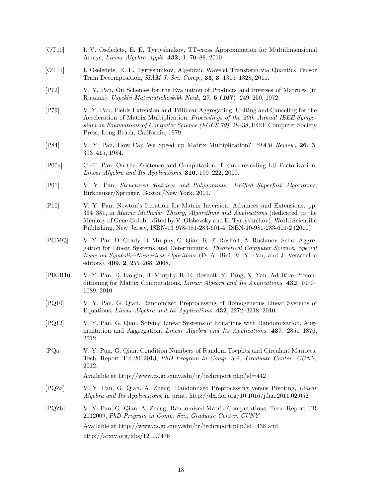- [OT10] I. V. Oseledets, E. E. Tyrtyshnikov, TT-cross Approximation for Multidimensional Arrays, *Linear Algebra Appls.* **432, 1**, 70–88, 2010.
- [OT11] I. Oseledets, E. E. Tyrtyshnikov, Algebraic Wavelet Transform via Quantics Tensor Train Decomposition, *SIAM J. Sci. Comp.*, **33**, **3**, 1315–1328, 2011.
- [P72] V. Y. Pan, On Schemes for the Evaluation of Products and Inverses of Matrices (in Russian), *Uspekhi Matematicheskikh Nauk*, **27**, **5 (167)**, 249–250, 1972.
- [P79] V. Y. Pan, Fields Extension and Trilinear Aggregating, Uniting and Canceling for the Acceleration of Matrix Multiplication, *Proceedings of the 20th Annual IEEE Symposium on Foundations of Computer Science (FOCS 79)*, 28–38, IEEE Computer Society Press, Long Beach, California, 1979.
- [P84] V. Y. Pan, How Can We Speed up Matrix Multiplication? *SIAM Review,* **26**, **3**, 393–415, 1984.
- [P00a] C.–T. Pan, On the Existence and Computation of Rank-revealing LU Factorization, *Linear Algebra and Its Applications*, **316**, 199–222, 2000.
- [P01] V. Y. Pan, *Structured Matrices and Polynomials: Unified Superfast Algorithms*, Birkhäuser/Springer, Boston/New York, 2001.
- [P10] V. Y. Pan, Newton's Iteration for Matrix Inversion, Advances and Extensions, pp. 364–381, in *Matrix Methods: Theory, Algorithms and Applications* (dedicated to the Memory of Gene Golub, edited by V. Olshevsky and E. Tyrtyshnikov), World Scientific Publishing, New Jersey, ISBN-13 978-981-283-601-4, ISBN-10-981-283-601-2 (2010).
- [PGMQ] V. Y. Pan, D. Grady, B. Murphy, G. Qian, R. E. Rosholt, A. Ruslanov, Schur Aggregation for Linear Systems and Determinants, *Theoretical Computer Science*, *Special Issue on Symbolic–Numerical Algorithms* (D. A. Bini, V. Y. Pan, and J. Verschelde editors), **409**, **2**, 255–268, 2008.
- [PIMR10] V. Y. Pan, D. Ivolgin, B. Murphy, R. E. Rosholt, Y. Tang, X. Yan, Additive Preconditioning for Matrix Computations, *Linear Algebra and Its Applications*, **432**, 1070– 1089, 2010.
- [PQ10] V. Y. Pan, G. Qian, Randomized Preprocessing of Homogeneous Linear Systems of Equations, *Linear Algebra and Its Applications*, **432**, 3272–3318, 2010.
- [PQ12] V. Y. Pan, G. Qian, Solving Linear Systems of Equations with Randomization, Augmentation and Aggregation, *Linear Algebra and Its Applications*, **437**, 2851–1876, 2012.
- [PQa] V. Y. Pan, G. Qian, Condition Numbers of Random Toeplitz and Circulant Matrices, Tech. Report TR 2012013, *PhD Program in Comp. Sci.*, *Graduate Center, CUNY*, 2012.

Available at http://www.cs.gc.cuny.edu/tr/techreport.php?id=442

- [PQZa] V. Y. Pan, G. Qian, A. Zheng, Randomized Preprocessing versus Pivoting, *Linear Algebra and Its Applications*, in print. http://dx.doi.org/10.1016/j.laa.2011.02.052
- [PQZb] V. Y. Pan, G. Qian, A. Zheng, Randomized Matrix Computations, Tech. Report TR 2012009, *PhD Program in Comp. Sci.*, *Graduate Center, CUNY* Available at http://www.cs.gc.cuny.edu/tr/techreport.php?id=438 and http://arxiv.org/abs/1210.7476